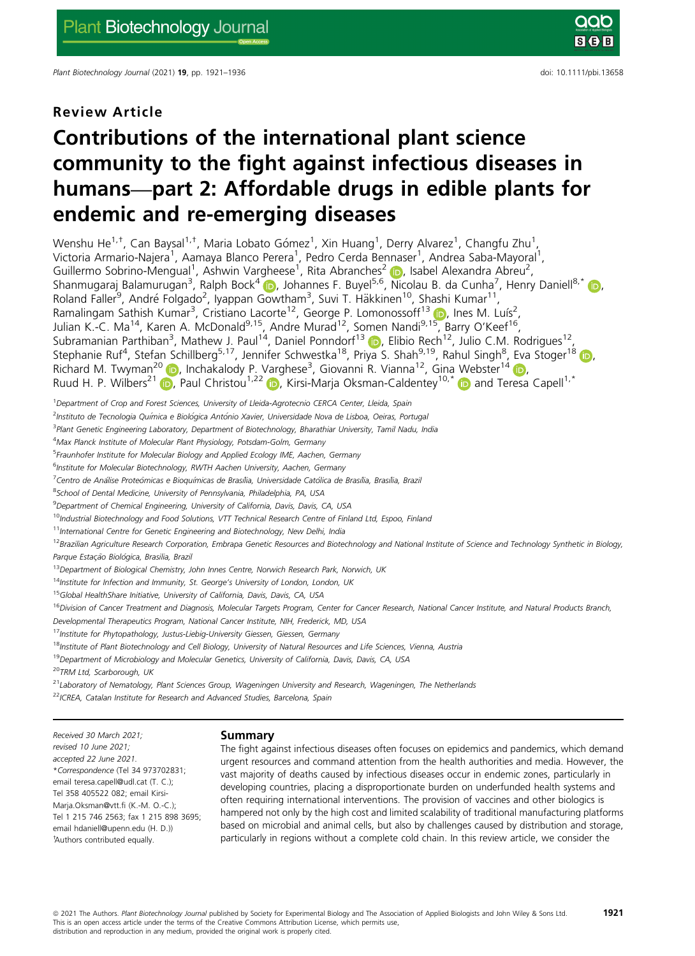Plant Biotechnology Journal (2021) 19, pp. 1921–1936 doi: 10.1111/pbi.13658

# Review Article

# Contributions of the international plant science community to the fight against infectious diseases in humans—part 2: Affordable drugs in edible plants for endemic and re-emerging diseases

Wenshu He $^{1, \dagger}$ , Can Baysal $^{1, \dagger}$ , Maria Lobato Gómez $^1$ , Xin Huang $^1$ , Derry Alvarez $^1$ , Changfu Zhu $^1$ , Victoria Armario-Najera<sup>1</sup>, Aamaya Blanco Perera<sup>1</sup>, Pedro Cerda Bennaser<sup>1</sup>, Andrea Saba-Mayoral<sup>1</sup>, Guillermo Sobrino-Mengual<sup>1</sup>, Ashwin Vargheese<sup>1</sup>, Rita Abranches<sup>[2](https://orcid.org/0000-0003-3173-3701)</sup> (D, Isabel Alexandra Abreu<sup>2</sup>, Shanmugaraj Balamurugan<sup>3</sup>, Ralph Bock<sup>4</sup> (b), Johannes F. Buyel<sup>5,6</sup>, Nicolau B. da Cunha<sup>7</sup>, Henry Daniell<sup>8,\*</sup> (b), Roland Faller<sup>9</sup>, André Folgado<sup>2</sup>, Iyappan Gowtham<sup>3</sup>, Suvi T. Häkkinen<sup>10</sup>, Shashi Kumar<sup>11</sup>, Ramalingam Sathish Kumar<sup>3</sup>, Cristiano Lacorte<sup>12</sup>, George P. Lomonossoff<sup>13</sup> (D), Ines M. Luís<sup>2</sup>, Julian K.-C. Ma<sup>14</sup>, Karen A. McDonald<sup>9,[15](https://orcid.org/0000-0003-0700-906X)</sup>, Andre Murad<sup>12</sup>, Somen Nandi<sup>9,15</sup>, Barry O'Keef<sup>16</sup>, Subramanian Parthiban<sup>3</sup>, Mathew J. Paul<sup>14</sup>, Daniel Ponndorf<sup>13</sup> (D, Elibio Rech<sup>12</sup>, Julio C.M. Rodrigues<sup>12</sup>, Stephanie Ruf<sup>4</sup>, Stefan Schillberg<sup>5,17</sup>, Jennifer Schwestka<sup>18</sup>, Priya S. Shah<sup>9,19</sup>, Rahul Singh<sup>8</sup>, Eva Stoger<sup>18</sup> (D), Richard M. Twyman<sup>2[0](https://orcid.org/0000-0002-8764-3003)</sup> ib, Inchakalody P. Varghese<sup>3</sup>, Giovanni R. Vianna<sup>12</sup>, Gina Webster<sup>14</sup> ib, Ruud H. P. Wilbers<sup>2[1](https://orcid.org/0000-0003-1149-9268)</sup> **D.** Paul Christou<sup>1,22</sup> **D.** Kirsi-Marja Oksman-Caldentey<sup>10,[\\*](https://orcid.org/0000-0003-2830-165X)</sup> **D** and Teresa Capell<sup>1,\*</sup>

<sup>1</sup>Department of Crop and Forest Sciences, University of Lleida-Agrotecnio CERCA Center, Lleida, Spain

<sup>2</sup>Instituto de Tecnologia Química e Biológica António Xavier, Universidade Nova de Lisboa, Oeiras, Portuga.

<sup>3</sup> Plant Genetic Engineering Laboratory, Department of Biotechnology, Bharathiar University, Tamil Nadu, India

<sup>4</sup>Max Planck Institute of Molecular Plant Physiology, Potsdam-Golm, Germany

<sup>5</sup>Fraunhofer Institute for Molecular Biology and Applied Ecology IME, Aachen, Germany

<sup>6</sup>Institute for Molecular Biotechnology, RWTH Aachen University, Aachen, Germany

<sup>7</sup>Centro de Análise Proteômicas e Bioquímicas de Brasília, Universidade Católica de Brasília, Brasília, Brazil

<sup>8</sup>School of Dental Medicine, University of Pennsylvania, Philadelphia, PA, USA

<sup>9</sup> Department of Chemical Engineering, University of California, Davis, Davis, CA, USA

<sup>10</sup>Industrial Biotechnology and Food Solutions, VTT Technical Research Centre of Finland Ltd, Espoo, Finland

<sup>11</sup>International Centre for Genetic Engineering and Biotechnology, New Delhi, India

<sup>12</sup>Brazilian Agriculture Research Corporation, Embrapa Genetic Resources and Biotechnology and National Institute of Science and Technology Synthetic in Biology, Parque Estação Biológica, Brasilia, Brazil

<sup>13</sup>Department of Biological Chemistry, John Innes Centre, Norwich Research Park, Norwich, UK

 $14$ Institute for Infection and Immunity, St. George's University of London, London, UK

<sup>15</sup>Global HealthShare Initiative, University of California, Davis, Davis, CA, USA

<sup>16</sup>Division of Cancer Treatment and Diagnosis, Molecular Targets Program, Center for Cancer Research, National Cancer Institute, and Natural Products Branch,

Developmental Therapeutics Program, National Cancer Institute, NIH, Frederick, MD, USA

17 Institute for Phytopathology, Justus-Liebig-University Giessen, Giessen, Germany

<sup>18</sup>Institute of Plant Biotechnology and Cell Biology, University of Natural Resources and Life Sciences, Vienna, Austria

<sup>19</sup> Department of Microbiology and Molecular Genetics, University of California, Davis, Davis, CA, USA

<sup>20</sup>TRM Ltd, Scarborough, UK

 $21$ Laboratory of Nematology, Plant Sciences Group, Wageningen University and Research, Wageningen, The Netherlands

<sup>22</sup> ICREA, Catalan Institute for Research and Advanced Studies, Barcelona, Spain

Received 30 March 2021; revised 10 June 2021; accepted 22 June 2021. \*Correspondence (Tel 34 973702831; email [teresa.capell@udl.cat](mailto:) (T. C.); Tel 358 405522 082; email [Kirsi-](mailto:)[Marja.Oksman@vtt.fi](mailto:) (K.-M. O.-C.); Tel 1 215 746 2563; fax 1 215 898 3695; email [hdaniell@upenn.edu](mailto:) (H. D.)) † Authors contributed equally.

### Summary

The fight against infectious diseases often focuses on epidemics and pandemics, which demand urgent resources and command attention from the health authorities and media. However, the vast majority of deaths caused by infectious diseases occur in endemic zones, particularly in developing countries, placing a disproportionate burden on underfunded health systems and often requiring international interventions. The provision of vaccines and other biologics is hampered not only by the high cost and limited scalability of traditional manufacturing platforms based on microbial and animal cells, but also by challenges caused by distribution and storage, particularly in regions without a complete cold chain. In this review article, we consider the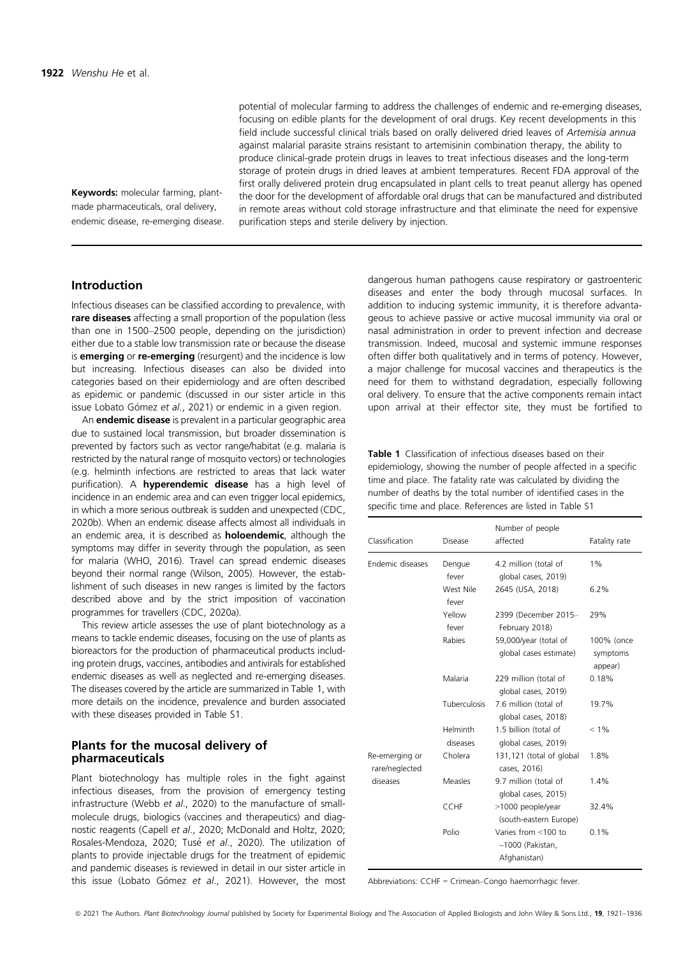Keywords: molecular farming, plantmade pharmaceuticals, oral delivery, endemic disease, re-emerging disease. potential of molecular farming to address the challenges of endemic and re-emerging diseases, focusing on edible plants for the development of oral drugs. Key recent developments in this field include successful clinical trials based on orally delivered dried leaves of Artemisia annua against malarial parasite strains resistant to artemisinin combination therapy, the ability to produce clinical-grade protein drugs in leaves to treat infectious diseases and the long-term storage of protein drugs in dried leaves at ambient temperatures. Recent FDA approval of the first orally delivered protein drug encapsulated in plant cells to treat peanut allergy has opened the door for the development of affordable oral drugs that can be manufactured and distributed in remote areas without cold storage infrastructure and that eliminate the need for expensive purification steps and sterile delivery by injection.

# Introduction

Infectious diseases can be classified according to prevalence, with rare diseases affecting a small proportion of the population (less than one in 1500–2500 people, depending on the jurisdiction) either due to a stable low transmission rate or because the disease is **emerging** or **re-emerging** (resurgent) and the incidence is low but increasing. Infectious diseases can also be divided into categories based on their epidemiology and are often described as epidemic or pandemic (discussed in our sister article in this issue Lobato Gómez et al., 2021) or endemic in a given region.

An **endemic disease** is prevalent in a particular geographic area due to sustained local transmission, but broader dissemination is prevented by factors such as vector range/habitat (e.g. malaria is restricted by the natural range of mosquito vectors) or technologies (e.g. helminth infections are restricted to areas that lack water purification). A hyperendemic disease has a high level of incidence in an endemic area and can even trigger local epidemics, in which a more serious outbreak is sudden and unexpected (CDC, 2020b). When an endemic disease affects almost all individuals in an endemic area, it is described as **holoendemic**, although the symptoms may differ in severity through the population, as seen for malaria (WHO, 2016). Travel can spread endemic diseases beyond their normal range (Wilson, 2005). However, the establishment of such diseases in new ranges is limited by the factors described above and by the strict imposition of vaccination programmes for travellers (CDC, 2020a).

This review article assesses the use of plant biotechnology as a means to tackle endemic diseases, focusing on the use of plants as bioreactors for the production of pharmaceutical products including protein drugs, vaccines, antibodies and antivirals for established endemic diseases as well as neglected and re-emerging diseases. The diseases covered by the article are summarized in Table 1, with more details on the incidence, prevalence and burden associated with these diseases provided in Table S1.

# Plants for the mucosal delivery of pharmaceuticals

Plant biotechnology has multiple roles in the fight against infectious diseases, from the provision of emergency testing infrastructure (Webb et al., 2020) to the manufacture of smallmolecule drugs, biologics (vaccines and therapeutics) and diagnostic reagents (Capell et al., 2020; McDonald and Holtz, 2020; Rosales-Mendoza, 2020; Tusé et al., 2020). The utilization of plants to provide injectable drugs for the treatment of epidemic and pandemic diseases is reviewed in detail in our sister article in this issue (Lobato Gómez et al., 2021). However, the most

dangerous human pathogens cause respiratory or gastroenteric diseases and enter the body through mucosal surfaces. In addition to inducing systemic immunity, it is therefore advantageous to achieve passive or active mucosal immunity via oral or nasal administration in order to prevent infection and decrease transmission. Indeed, mucosal and systemic immune responses often differ both qualitatively and in terms of potency. However, a major challenge for mucosal vaccines and therapeutics is the need for them to withstand degradation, especially following oral delivery. To ensure that the active components remain intact upon arrival at their effector site, they must be fortified to

Table 1 Classification of infectious diseases based on their epidemiology, showing the number of people affected in a specific time and place. The fatality rate was calculated by dividing the number of deaths by the total number of identified cases in the specific time and place. References are listed in Table S1

| Classification                               | Disease              | Number of people<br>affected                                  | Fatality rate                     |
|----------------------------------------------|----------------------|---------------------------------------------------------------|-----------------------------------|
| Endemic diseases                             | Dengue<br>fever      | 4.2 million (total of<br>global cases, 2019)                  | $1\%$                             |
|                                              | West Nile<br>fever   | 2645 (USA, 2018)                                              | 6.2%                              |
|                                              | Yellow<br>fever      | 2399 (December 2015-<br>February 2018)                        | 29%                               |
|                                              | Rabies               | 59,000/year (total of<br>global cases estimate)               | 100% (once<br>symptoms<br>appear) |
|                                              | Malaria              | 229 million (total of<br>global cases, 2019)                  | 0.18%                             |
|                                              | Tuberculosis         | 7.6 million (total of<br>global cases, 2018)                  | 19.7%                             |
|                                              | Helminth<br>diseases | 1.5 billion (total of<br>global cases, 2019)                  | $< 1\%$                           |
| Re-emerging or<br>rare/neglected<br>diseases | Cholera              | 131,121 (total of global<br>cases, 2016)                      | 1.8%                              |
|                                              | Measles              | 9.7 million (total of<br>global cases, 2015)                  | 1.4%                              |
|                                              | <b>CCHF</b>          | >1000 people/year<br>(south-eastern Europe)                   | 32.4%                             |
|                                              | Polio                | Varies from <100 to<br>$\sim$ 1000 (Pakistan,<br>Afghanistan) | 0.1%                              |

Abbreviations: CCHF = Crimean–Congo haemorrhagic fever.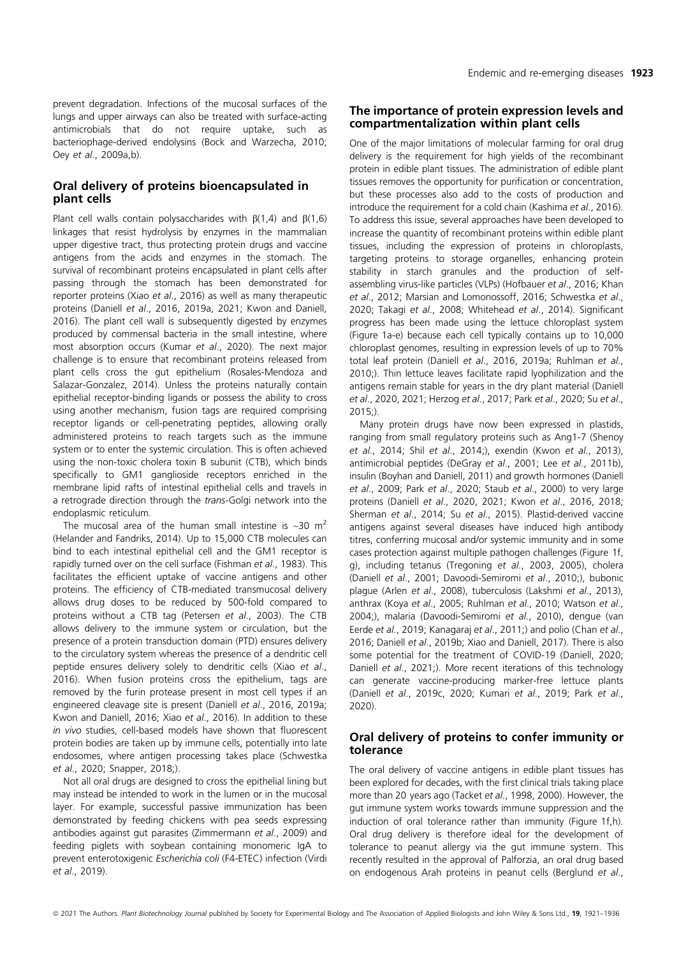prevent degradation. Infections of the mucosal surfaces of the lungs and upper airways can also be treated with surface-acting antimicrobials that do not require uptake, such as bacteriophage-derived endolysins (Bock and Warzecha, 2010; Oey et al., 2009a,b).

# Oral delivery of proteins bioencapsulated in plant cells

Plant cell walls contain polysaccharides with  $\beta(1,4)$  and  $\beta(1,6)$ linkages that resist hydrolysis by enzymes in the mammalian upper digestive tract, thus protecting protein drugs and vaccine antigens from the acids and enzymes in the stomach. The survival of recombinant proteins encapsulated in plant cells after passing through the stomach has been demonstrated for reporter proteins (Xiao et al., 2016) as well as many therapeutic proteins (Daniell et al., 2016, 2019a, 2021; Kwon and Daniell, 2016). The plant cell wall is subsequently digested by enzymes produced by commensal bacteria in the small intestine, where most absorption occurs (Kumar et al., 2020). The next major challenge is to ensure that recombinant proteins released from plant cells cross the gut epithelium (Rosales-Mendoza and Salazar-Gonzalez, 2014). Unless the proteins naturally contain epithelial receptor-binding ligands or possess the ability to cross using another mechanism, fusion tags are required comprising receptor ligands or cell-penetrating peptides, allowing orally administered proteins to reach targets such as the immune system or to enter the systemic circulation. This is often achieved using the non-toxic cholera toxin B subunit (CTB), which binds specifically to GM1 ganglioside receptors enriched in the membrane lipid rafts of intestinal epithelial cells and travels in a retrograde direction through the trans-Golgi network into the endoplasmic reticulum.

The mucosal area of the human small intestine is  $\sim$ 30 m<sup>2</sup> (Helander and Fandriks, 2014). Up to 15,000 CTB molecules can bind to each intestinal epithelial cell and the GM1 receptor is rapidly turned over on the cell surface (Fishman et al., 1983). This facilitates the efficient uptake of vaccine antigens and other proteins. The efficiency of CTB-mediated transmucosal delivery allows drug doses to be reduced by 500-fold compared to proteins without a CTB tag (Petersen et al., 2003). The CTB allows delivery to the immune system or circulation, but the presence of a protein transduction domain (PTD) ensures delivery to the circulatory system whereas the presence of a dendritic cell peptide ensures delivery solely to dendritic cells (Xiao et al., 2016). When fusion proteins cross the epithelium, tags are removed by the furin protease present in most cell types if an engineered cleavage site is present (Daniell et al., 2016, 2019a; Kwon and Daniell, 2016; Xiao et al., 2016). In addition to these in vivo studies, cell-based models have shown that fluorescent protein bodies are taken up by immune cells, potentially into late endosomes, where antigen processing takes place (Schwestka et al., 2020; Snapper, 2018;).

Not all oral drugs are designed to cross the epithelial lining but may instead be intended to work in the lumen or in the mucosal layer. For example, successful passive immunization has been demonstrated by feeding chickens with pea seeds expressing antibodies against gut parasites (Zimmermann et al., 2009) and feeding piglets with soybean containing monomeric IgA to prevent enterotoxigenic Escherichia coli (F4-ETEC) infection (Virdi et al., 2019).

# The importance of protein expression levels and compartmentalization within plant cells

One of the major limitations of molecular farming for oral drug delivery is the requirement for high yields of the recombinant protein in edible plant tissues. The administration of edible plant tissues removes the opportunity for purification or concentration, but these processes also add to the costs of production and introduce the requirement for a cold chain (Kashima et al., 2016). To address this issue, several approaches have been developed to increase the quantity of recombinant proteins within edible plant tissues, including the expression of proteins in chloroplasts, targeting proteins to storage organelles, enhancing protein stability in starch granules and the production of selfassembling virus-like particles (VLPs) (Hofbauer et al., 2016; Khan et al., 2012; Marsian and Lomonossoff, 2016; Schwestka et al., 2020; Takagi et al., 2008; Whitehead et al., 2014). Significant progress has been made using the lettuce chloroplast system (Figure 1a-e) because each cell typically contains up to 10,000 chloroplast genomes, resulting in expression levels of up to 70% total leaf protein (Daniell et al., 2016, 2019a; Ruhlman et al., 2010;). Thin lettuce leaves facilitate rapid lyophilization and the antigens remain stable for years in the dry plant material (Daniell et al., 2020, 2021; Herzog et al., 2017; Park et al., 2020; Su et al.,  $2015$ <sup>.</sup>

Many protein drugs have now been expressed in plastids, ranging from small regulatory proteins such as Ang1-7 (Shenoy et al., 2014; Shil et al., 2014;), exendin (Kwon et al., 2013), antimicrobial peptides (DeGray et al., 2001; Lee et al., 2011b), insulin (Boyhan and Daniell, 2011) and growth hormones (Daniell et al., 2009; Park et al., 2020; Staub et al., 2000) to very large proteins (Daniell et al., 2020, 2021; Kwon et al., 2016, 2018; Sherman et al., 2014; Su et al., 2015). Plastid-derived vaccine antigens against several diseases have induced high antibody titres, conferring mucosal and/or systemic immunity and in some cases protection against multiple pathogen challenges (Figure 1f, g), including tetanus (Tregoning et al., 2003, 2005), cholera (Daniell et al., 2001; Davoodi-Semiromi et al., 2010;), bubonic plague (Arlen et al., 2008), tuberculosis (Lakshmi et al., 2013), anthrax (Koya et al., 2005; Ruhlman et al., 2010; Watson et al., 2004;), malaria (Davoodi-Semiromi et al., 2010), dengue (van Eerde et al., 2019; Kanagaraj et al., 2011;) and polio (Chan et al., 2016; Daniell et al., 2019b; Xiao and Daniell, 2017). There is also some potential for the treatment of COVID-19 (Daniell, 2020; Daniell et al., 2021;). More recent iterations of this technology can generate vaccine-producing marker-free lettuce plants (Daniell et al., 2019c, 2020; Kumari et al., 2019; Park et al., 2020).

# Oral delivery of proteins to confer immunity or tolerance

The oral delivery of vaccine antigens in edible plant tissues has been explored for decades, with the first clinical trials taking place more than 20 years ago (Tacket et al., 1998, 2000). However, the gut immune system works towards immune suppression and the induction of oral tolerance rather than immunity (Figure 1f,h). Oral drug delivery is therefore ideal for the development of tolerance to peanut allergy via the gut immune system. This recently resulted in the approval of Palforzia, an oral drug based on endogenous Arah proteins in peanut cells (Berglund et al.,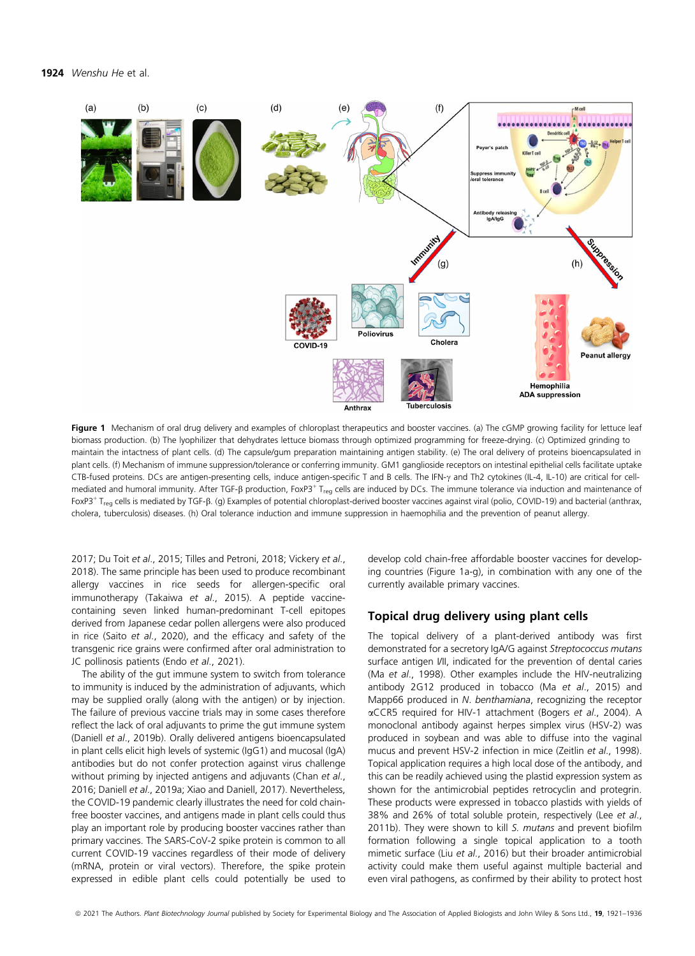#### 1924 Wenshu He et al.



Figure 1 Mechanism of oral drug delivery and examples of chloroplast therapeutics and booster vaccines. (a) The cGMP growing facility for lettuce leaf biomass production. (b) The lyophilizer that dehydrates lettuce biomass through optimized programming for freeze-drying. (c) Optimized grinding to maintain the intactness of plant cells. (d) The capsule/gum preparation maintaining antigen stability. (e) The oral delivery of proteins bioencapsulated in plant cells. (f) Mechanism of immune suppression/tolerance or conferring immunity. GM1 ganglioside receptors on intestinal epithelial cells facilitate uptake CTB-fused proteins. DCs are antigen-presenting cells, induce antigen-specific T and B cells. The IFN- $\gamma$  and Th2 cytokines (IL-4, IL-10) are critical for cellmediated and humoral immunity. After TGF-ß production, FoxP3<sup>+</sup> T<sub>reg</sub> cells are induced by DCs. The immune tolerance via induction and maintenance of FoxP3<sup>+</sup> T<sub>reg</sub> cells is mediated by TGF- $\beta$ . (g) Examples of potential chloroplast-derived booster vaccines against viral (polio, COVID-19) and bacterial (anthrax, cholera, tuberculosis) diseases. (h) Oral tolerance induction and immune suppression in haemophilia and the prevention of peanut allergy.

2017; Du Toit et al., 2015; Tilles and Petroni, 2018; Vickery et al., 2018). The same principle has been used to produce recombinant allergy vaccines in rice seeds for allergen-specific oral immunotherapy (Takaiwa et al., 2015). A peptide vaccinecontaining seven linked human-predominant T-cell epitopes derived from Japanese cedar pollen allergens were also produced in rice (Saito et al., 2020), and the efficacy and safety of the transgenic rice grains were confirmed after oral administration to JC pollinosis patients (Endo et al., 2021).

The ability of the gut immune system to switch from tolerance to immunity is induced by the administration of adjuvants, which may be supplied orally (along with the antigen) or by injection. The failure of previous vaccine trials may in some cases therefore reflect the lack of oral adjuvants to prime the gut immune system (Daniell et al., 2019b). Orally delivered antigens bioencapsulated in plant cells elicit high levels of systemic (IgG1) and mucosal (IgA) antibodies but do not confer protection against virus challenge without priming by injected antigens and adjuvants (Chan et al., 2016; Daniell et al., 2019a; Xiao and Daniell, 2017). Nevertheless, the COVID-19 pandemic clearly illustrates the need for cold chainfree booster vaccines, and antigens made in plant cells could thus play an important role by producing booster vaccines rather than primary vaccines. The SARS-CoV-2 spike protein is common to all current COVID-19 vaccines regardless of their mode of delivery (mRNA, protein or viral vectors). Therefore, the spike protein expressed in edible plant cells could potentially be used to

develop cold chain-free affordable booster vaccines for developing countries (Figure 1a-g), in combination with any one of the currently available primary vaccines.

# Topical drug delivery using plant cells

The topical delivery of a plant-derived antibody was first demonstrated for a secretory IgA/G against Streptococcus mutans surface antigen I/II, indicated for the prevention of dental caries (Ma et al., 1998). Other examples include the HIV-neutralizing antibody 2G12 produced in tobacco (Ma et al., 2015) and Mapp66 produced in N. benthamiana, recognizing the receptor aCCR5 required for HIV-1 attachment (Bogers et al., 2004). A monoclonal antibody against herpes simplex virus (HSV-2) was produced in soybean and was able to diffuse into the vaginal mucus and prevent HSV-2 infection in mice (Zeitlin et al., 1998). Topical application requires a high local dose of the antibody, and this can be readily achieved using the plastid expression system as shown for the antimicrobial peptides retrocyclin and protegrin. These products were expressed in tobacco plastids with yields of 38% and 26% of total soluble protein, respectively (Lee et al., 2011b). They were shown to kill S. mutans and prevent biofilm formation following a single topical application to a tooth mimetic surface (Liu et al., 2016) but their broader antimicrobial activity could make them useful against multiple bacterial and even viral pathogens, as confirmed by their ability to protect host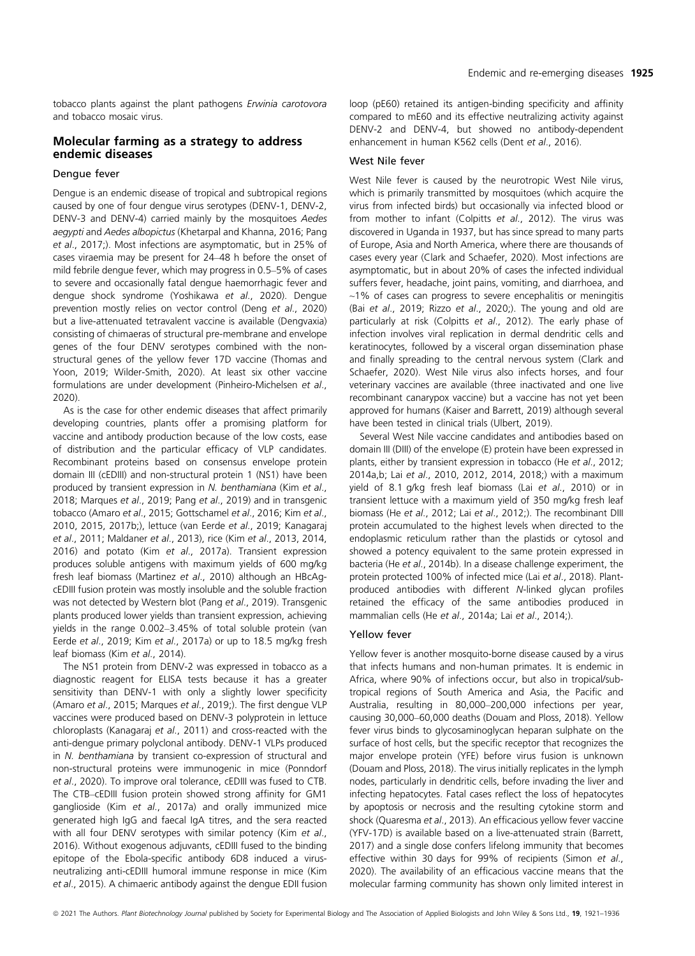tobacco plants against the plant pathogens Erwinia carotovora and tobacco mosaic virus.

# Molecular farming as a strategy to address endemic diseases

# Dengue fever

Dengue is an endemic disease of tropical and subtropical regions caused by one of four dengue virus serotypes (DENV-1, DENV-2, DENV-3 and DENV-4) carried mainly by the mosquitoes Aedes aegypti and Aedes albopictus (Khetarpal and Khanna, 2016; Pang et al., 2017;). Most infections are asymptomatic, but in 25% of cases viraemia may be present for 24–48 h before the onset of mild febrile dengue fever, which may progress in 0.5–5% of cases to severe and occasionally fatal dengue haemorrhagic fever and dengue shock syndrome (Yoshikawa et al., 2020). Dengue prevention mostly relies on vector control (Deng et al., 2020) but a live-attenuated tetravalent vaccine is available (Dengvaxia) consisting of chimaeras of structural pre-membrane and envelope genes of the four DENV serotypes combined with the nonstructural genes of the yellow fever 17D vaccine (Thomas and Yoon, 2019; Wilder-Smith, 2020). At least six other vaccine formulations are under development (Pinheiro-Michelsen et al., 2020).

As is the case for other endemic diseases that affect primarily developing countries, plants offer a promising platform for vaccine and antibody production because of the low costs, ease of distribution and the particular efficacy of VLP candidates. Recombinant proteins based on consensus envelope protein domain III (cEDIII) and non-structural protein 1 (NS1) have been produced by transient expression in N. benthamiana (Kim et al., 2018; Marques et al., 2019; Pang et al., 2019) and in transgenic tobacco (Amaro et al., 2015; Gottschamel et al., 2016; Kim et al., 2010, 2015, 2017b;), lettuce (van Eerde et al., 2019; Kanagaraj et al., 2011; Maldaner et al., 2013), rice (Kim et al., 2013, 2014, 2016) and potato (Kim et al., 2017a). Transient expression produces soluble antigens with maximum yields of 600 mg/kg fresh leaf biomass (Martinez et al., 2010) although an HBcAgcEDIII fusion protein was mostly insoluble and the soluble fraction was not detected by Western blot (Pang et al., 2019). Transgenic plants produced lower yields than transient expression, achieving yields in the range 0.002–3.45% of total soluble protein (van Eerde et al., 2019; Kim et al., 2017a) or up to 18.5 mg/kg fresh leaf biomass (Kim et al., 2014).

The NS1 protein from DENV-2 was expressed in tobacco as a diagnostic reagent for ELISA tests because it has a greater sensitivity than DENV-1 with only a slightly lower specificity (Amaro et al., 2015; Marques et al., 2019;). The first dengue VLP vaccines were produced based on DENV-3 polyprotein in lettuce chloroplasts (Kanagaraj et al., 2011) and cross-reacted with the anti-dengue primary polyclonal antibody. DENV-1 VLPs produced in N. benthamiana by transient co-expression of structural and non-structural proteins were immunogenic in mice (Ponndorf et al., 2020). To improve oral tolerance, cEDIII was fused to CTB. The CTB–cEDIII fusion protein showed strong affinity for GM1 ganglioside (Kim et al., 2017a) and orally immunized mice generated high IgG and faecal IgA titres, and the sera reacted with all four DENV serotypes with similar potency (Kim et al., 2016). Without exogenous adjuvants, cEDIII fused to the binding epitope of the Ebola-specific antibody 6D8 induced a virusneutralizing anti-cEDIII humoral immune response in mice (Kim et al., 2015). A chimaeric antibody against the dengue EDII fusion

loop (pE60) retained its antigen-binding specificity and affinity compared to mE60 and its effective neutralizing activity against DENV-2 and DENV-4, but showed no antibody-dependent enhancement in human K562 cells (Dent et al., 2016).

### West Nile fever

West Nile fever is caused by the neurotropic West Nile virus, which is primarily transmitted by mosquitoes (which acquire the virus from infected birds) but occasionally via infected blood or from mother to infant (Colpitts et al., 2012). The virus was discovered in Uganda in 1937, but has since spread to many parts of Europe, Asia and North America, where there are thousands of cases every year (Clark and Schaefer, 2020). Most infections are asymptomatic, but in about 20% of cases the infected individual suffers fever, headache, joint pains, vomiting, and diarrhoea, and  $~1\%$  of cases can progress to severe encephalitis or meningitis (Bai et al., 2019; Rizzo et al., 2020;). The young and old are particularly at risk (Colpitts et al., 2012). The early phase of infection involves viral replication in dermal dendritic cells and keratinocytes, followed by a visceral organ dissemination phase and finally spreading to the central nervous system (Clark and Schaefer, 2020). West Nile virus also infects horses, and four veterinary vaccines are available (three inactivated and one live recombinant canarypox vaccine) but a vaccine has not yet been approved for humans (Kaiser and Barrett, 2019) although several have been tested in clinical trials (Ulbert, 2019).

Several West Nile vaccine candidates and antibodies based on domain III (DIII) of the envelope (E) protein have been expressed in plants, either by transient expression in tobacco (He et al., 2012; 2014a,b; Lai et al., 2010, 2012, 2014, 2018;) with a maximum yield of 8.1 g/kg fresh leaf biomass (Lai et al., 2010) or in transient lettuce with a maximum yield of 350 mg/kg fresh leaf biomass (He et al., 2012; Lai et al., 2012;). The recombinant DIII protein accumulated to the highest levels when directed to the endoplasmic reticulum rather than the plastids or cytosol and showed a potency equivalent to the same protein expressed in bacteria (He et al., 2014b). In a disease challenge experiment, the protein protected 100% of infected mice (Lai et al., 2018). Plantproduced antibodies with different N-linked glycan profiles retained the efficacy of the same antibodies produced in mammalian cells (He et al., 2014a; Lai et al., 2014;).

Yellow fever is another mosquito-borne disease caused by a virus that infects humans and non-human primates. It is endemic in Africa, where 90% of infections occur, but also in tropical/subtropical regions of South America and Asia, the Pacific and Australia, resulting in 80,000–200,000 infections per year, causing 30,000–60,000 deaths (Douam and Ploss, 2018). Yellow fever virus binds to glycosaminoglycan heparan sulphate on the surface of host cells, but the specific receptor that recognizes the major envelope protein (YFE) before virus fusion is unknown (Douam and Ploss, 2018). The virus initially replicates in the lymph nodes, particularly in dendritic cells, before invading the liver and infecting hepatocytes. Fatal cases reflect the loss of hepatocytes by apoptosis or necrosis and the resulting cytokine storm and shock (Quaresma et al., 2013). An efficacious yellow fever vaccine (YFV-17D) is available based on a live-attenuated strain (Barrett, 2017) and a single dose confers lifelong immunity that becomes effective within 30 days for 99% of recipients (Simon et al., 2020). The availability of an efficacious vaccine means that the molecular farming community has shown only limited interest in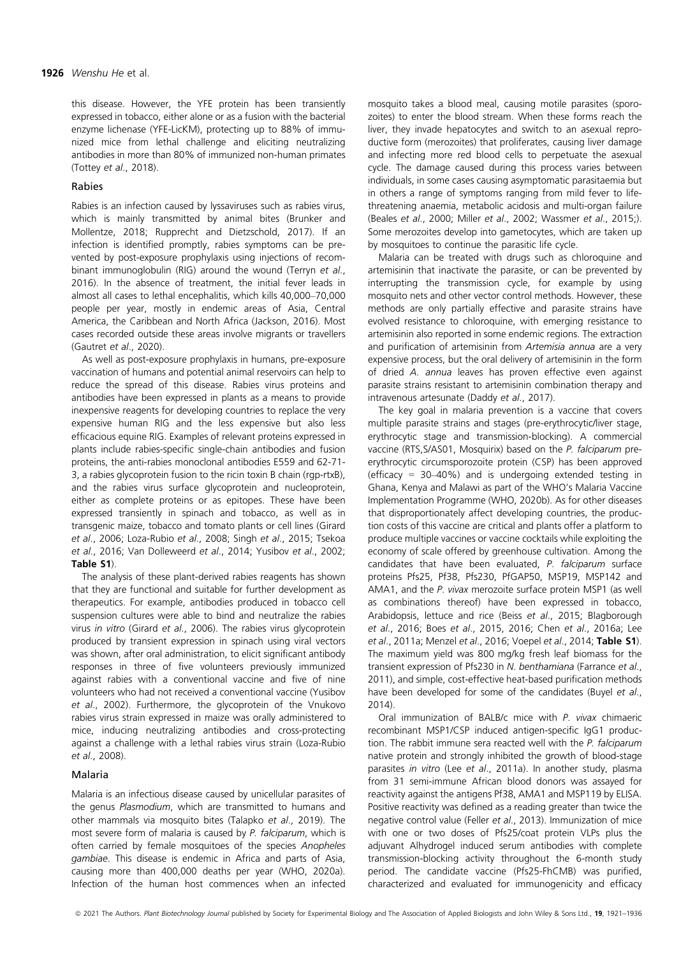this disease. However, the YFE protein has been transiently expressed in tobacco, either alone or as a fusion with the bacterial enzyme lichenase (YFE-LicKM), protecting up to 88% of immunized mice from lethal challenge and eliciting neutralizing antibodies in more than 80% of immunized non-human primates (Tottey et al., 2018).

Rabies is an infection caused by lyssaviruses such as rabies virus, which is mainly transmitted by animal bites (Brunker and Mollentze, 2018; Rupprecht and Dietzschold, 2017). If an infection is identified promptly, rabies symptoms can be prevented by post-exposure prophylaxis using injections of recombinant immunoglobulin (RIG) around the wound (Terryn et al., 2016). In the absence of treatment, the initial fever leads in almost all cases to lethal encephalitis, which kills 40,000–70,000 people per year, mostly in endemic areas of Asia, Central America, the Caribbean and North Africa (Jackson, 2016). Most cases recorded outside these areas involve migrants or travellers (Gautret et al., 2020).

As well as post-exposure prophylaxis in humans, pre-exposure vaccination of humans and potential animal reservoirs can help to reduce the spread of this disease. Rabies virus proteins and antibodies have been expressed in plants as a means to provide inexpensive reagents for developing countries to replace the very expensive human RIG and the less expensive but also less efficacious equine RIG. Examples of relevant proteins expressed in plants include rabies-specific single-chain antibodies and fusion proteins, the anti-rabies monoclonal antibodies E559 and 62-71- 3, a rabies glycoprotein fusion to the ricin toxin B chain (rgp-rtxB), and the rabies virus surface glycoprotein and nucleoprotein, either as complete proteins or as epitopes. These have been expressed transiently in spinach and tobacco, as well as in transgenic maize, tobacco and tomato plants or cell lines (Girard et al., 2006; Loza-Rubio et al., 2008; Singh et al., 2015; Tsekoa et al., 2016; Van Dolleweerd et al., 2014; Yusibov et al., 2002; Table S1).

The analysis of these plant-derived rabies reagents has shown that they are functional and suitable for further development as therapeutics. For example, antibodies produced in tobacco cell suspension cultures were able to bind and neutralize the rabies virus in vitro (Girard et al., 2006). The rabies virus glycoprotein produced by transient expression in spinach using viral vectors was shown, after oral administration, to elicit significant antibody responses in three of five volunteers previously immunized against rabies with a conventional vaccine and five of nine volunteers who had not received a conventional vaccine (Yusibov et al., 2002). Furthermore, the glycoprotein of the Vnukovo rabies virus strain expressed in maize was orally administered to mice, inducing neutralizing antibodies and cross-protecting against a challenge with a lethal rabies virus strain (Loza-Rubio et al., 2008).

### Malaria

Malaria is an infectious disease caused by unicellular parasites of the genus Plasmodium, which are transmitted to humans and other mammals via mosquito bites (Talapko et al., 2019). The most severe form of malaria is caused by P. falciparum, which is often carried by female mosquitoes of the species Anopheles gambiae. This disease is endemic in Africa and parts of Asia, causing more than 400,000 deaths per year (WHO, 2020a). Infection of the human host commences when an infected

mosquito takes a blood meal, causing motile parasites (sporozoites) to enter the blood stream. When these forms reach the liver, they invade hepatocytes and switch to an asexual reproductive form (merozoites) that proliferates, causing liver damage and infecting more red blood cells to perpetuate the asexual cycle. The damage caused during this process varies between individuals, in some cases causing asymptomatic parasitaemia but in others a range of symptoms ranging from mild fever to lifethreatening anaemia, metabolic acidosis and multi-organ failure (Beales et al., 2000; Miller et al., 2002; Wassmer et al., 2015;). Some merozoites develop into gametocytes, which are taken up by mosquitoes to continue the parasitic life cycle.

Malaria can be treated with drugs such as chloroquine and artemisinin that inactivate the parasite, or can be prevented by interrupting the transmission cycle, for example by using mosquito nets and other vector control methods. However, these methods are only partially effective and parasite strains have evolved resistance to chloroquine, with emerging resistance to artemisinin also reported in some endemic regions. The extraction and purification of artemisinin from Artemisia annua are a very expensive process, but the oral delivery of artemisinin in the form of dried A. annua leaves has proven effective even against parasite strains resistant to artemisinin combination therapy and intravenous artesunate (Daddy et al., 2017).

The key goal in malaria prevention is a vaccine that covers multiple parasite strains and stages (pre-erythrocytic/liver stage, erythrocytic stage and transmission-blocking). A commercial vaccine (RTS, S/AS01, Mosquirix) based on the P. falciparum preerythrocytic circumsporozoite protein (CSP) has been approved (efficacy =  $30-40\%$ ) and is undergoing extended testing in Ghana, Kenya and Malawi as part of the WHO's Malaria Vaccine Implementation Programme (WHO, 2020b). As for other diseases that disproportionately affect developing countries, the production costs of this vaccine are critical and plants offer a platform to produce multiple vaccines or vaccine cocktails while exploiting the economy of scale offered by greenhouse cultivation. Among the candidates that have been evaluated, P. falciparum surface proteins Pfs25, Pf38, Pfs230, PfGAP50, MSP19, MSP142 and AMA1, and the P. vivax merozoite surface protein MSP1 (as well as combinations thereof) have been expressed in tobacco, Arabidopsis, lettuce and rice (Beiss et al., 2015; Blagborough et al., 2016; Boes et al., 2015, 2016; Chen et al., 2016a; Lee et al., 2011a; Menzel et al., 2016; Voepel et al., 2014; Table S1). The maximum yield was 800 mg/kg fresh leaf biomass for the transient expression of Pfs230 in N. benthamiana (Farrance et al., 2011), and simple, cost-effective heat-based purification methods have been developed for some of the candidates (Buyel et al., 2014).

Oral immunization of BALB/c mice with P. vivax chimaeric recombinant MSP1/CSP induced antigen-specific IgG1 production. The rabbit immune sera reacted well with the P. falciparum native protein and strongly inhibited the growth of blood-stage parasites in vitro (Lee et al., 2011a). In another study, plasma from 31 semi-immune African blood donors was assayed for reactivity against the antigens Pf38, AMA1 and MSP119 by ELISA. Positive reactivity was defined as a reading greater than twice the negative control value (Feller et al., 2013). Immunization of mice with one or two doses of Pfs25/coat protein VLPs plus the adjuvant Alhydrogel induced serum antibodies with complete transmission-blocking activity throughout the 6-month study period. The candidate vaccine (Pfs25-FhCMB) was purified, characterized and evaluated for immunogenicity and efficacy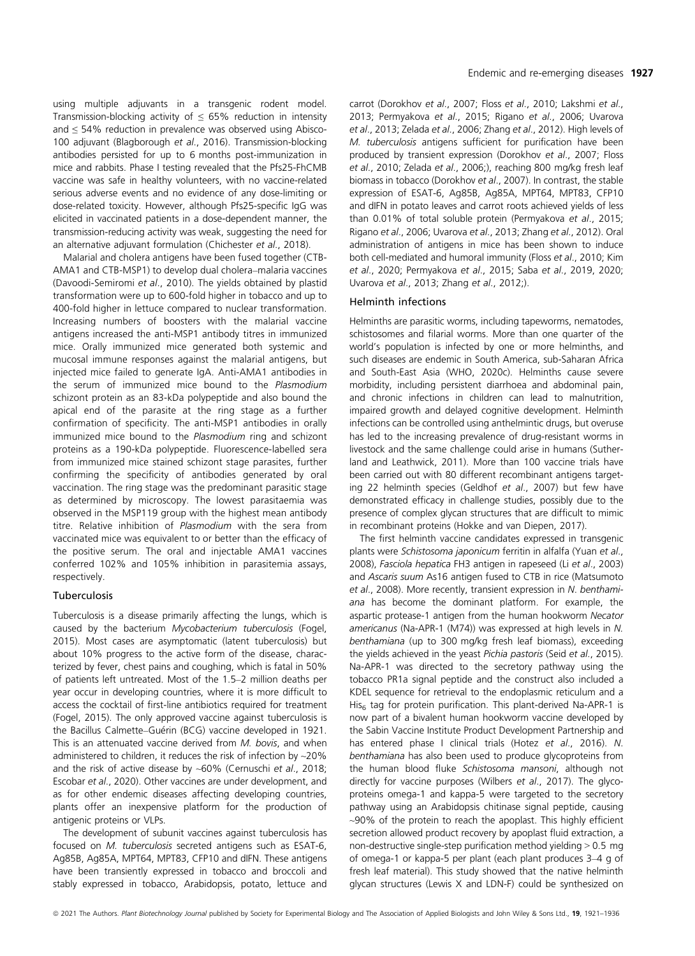using multiple adjuvants in a transgenic rodent model. Transmission-blocking activity of  $\leq$  65% reduction in intensity and ≤ 54% reduction in prevalence was observed using Abisco-100 adjuvant (Blagborough et al., 2016). Transmission-blocking antibodies persisted for up to 6 months post-immunization in mice and rabbits. Phase I testing revealed that the Pfs25-FhCMB vaccine was safe in healthy volunteers, with no vaccine-related serious adverse events and no evidence of any dose-limiting or dose-related toxicity. However, although Pfs25-specific IgG was elicited in vaccinated patients in a dose-dependent manner, the transmission-reducing activity was weak, suggesting the need for an alternative adjuvant formulation (Chichester et al., 2018).

Malarial and cholera antigens have been fused together (CTB-AMA1 and CTB-MSP1) to develop dual cholera–malaria vaccines (Davoodi-Semiromi et al., 2010). The yields obtained by plastid transformation were up to 600-fold higher in tobacco and up to 400-fold higher in lettuce compared to nuclear transformation. Increasing numbers of boosters with the malarial vaccine antigens increased the anti-MSP1 antibody titres in immunized mice. Orally immunized mice generated both systemic and mucosal immune responses against the malarial antigens, but injected mice failed to generate IgA. Anti-AMA1 antibodies in the serum of immunized mice bound to the Plasmodium schizont protein as an 83-kDa polypeptide and also bound the apical end of the parasite at the ring stage as a further confirmation of specificity. The anti-MSP1 antibodies in orally immunized mice bound to the Plasmodium ring and schizont proteins as a 190-kDa polypeptide. Fluorescence-labelled sera from immunized mice stained schizont stage parasites, further confirming the specificity of antibodies generated by oral vaccination. The ring stage was the predominant parasitic stage as determined by microscopy. The lowest parasitaemia was observed in the MSP119 group with the highest mean antibody titre. Relative inhibition of Plasmodium with the sera from vaccinated mice was equivalent to or better than the efficacy of the positive serum. The oral and injectable AMA1 vaccines conferred 102% and 105% inhibition in parasitemia assays, respectively.

Tuberculosis is a disease primarily affecting the lungs, which is caused by the bacterium Mycobacterium tuberculosis (Fogel, 2015). Most cases are asymptomatic (latent tuberculosis) but about 10% progress to the active form of the disease, characterized by fever, chest pains and coughing, which is fatal in 50% of patients left untreated. Most of the 1.5–2 million deaths per year occur in developing countries, where it is more difficult to access the cocktail of first-line antibiotics required for treatment (Fogel, 2015). The only approved vaccine against tuberculosis is the Bacillus Calmette–Guérin (BCG) vaccine developed in 1921. This is an attenuated vaccine derived from M. bovis, and when administered to children, it reduces the risk of infection by ~20% and the risk of active disease by  $~60\%$  (Cernuschi et al., 2018; Escobar et al., 2020). Other vaccines are under development, and as for other endemic diseases affecting developing countries, plants offer an inexpensive platform for the production of antigenic proteins or VLPs.

The development of subunit vaccines against tuberculosis has focused on M. tuberculosis secreted antigens such as ESAT-6, Ag85B, Ag85A, MPT64, MPT83, CFP10 and dIFN. These antigens have been transiently expressed in tobacco and broccoli and stably expressed in tobacco, Arabidopsis, potato, lettuce and

carrot (Dorokhov et al., 2007; Floss et al., 2010; Lakshmi et al., 2013; Permyakova et al., 2015; Rigano et al., 2006; Uvarova et al., 2013; Zelada et al., 2006; Zhang et al., 2012). High levels of M. tuberculosis antigens sufficient for purification have been produced by transient expression (Dorokhov et al., 2007; Floss et al., 2010; Zelada et al., 2006;), reaching 800 mg/kg fresh leaf biomass in tobacco (Dorokhov et al., 2007). In contrast, the stable expression of ESAT-6, Ag85B, Ag85A, MPT64, MPT83, CFP10 and dIFN in potato leaves and carrot roots achieved yields of less than 0.01% of total soluble protein (Permyakova et al., 2015; Rigano et al., 2006; Uvarova et al., 2013; Zhang et al., 2012). Oral administration of antigens in mice has been shown to induce both cell-mediated and humoral immunity (Floss et al., 2010; Kim et al., 2020; Permyakova et al., 2015; Saba et al., 2019, 2020; Uvarova et al., 2013; Zhang et al., 2012;).

#### **Helminth infections**

Helminths are parasitic worms, including tapeworms, nematodes, schistosomes and filarial worms. More than one quarter of the world's population is infected by one or more helminths, and such diseases are endemic in South America, sub-Saharan Africa and South-East Asia (WHO, 2020c). Helminths cause severe morbidity, including persistent diarrhoea and abdominal pain, and chronic infections in children can lead to malnutrition, impaired growth and delayed cognitive development. Helminth infections can be controlled using anthelmintic drugs, but overuse has led to the increasing prevalence of drug-resistant worms in livestock and the same challenge could arise in humans (Sutherland and Leathwick, 2011). More than 100 vaccine trials have been carried out with 80 different recombinant antigens targeting 22 helminth species (Geldhof et al., 2007) but few have demonstrated efficacy in challenge studies, possibly due to the presence of complex glycan structures that are difficult to mimic in recombinant proteins (Hokke and van Diepen, 2017).

The first helminth vaccine candidates expressed in transgenic plants were Schistosoma japonicum ferritin in alfalfa (Yuan et al., 2008), Fasciola hepatica FH3 antigen in rapeseed (Li et al., 2003) and Ascaris suum As16 antigen fused to CTB in rice (Matsumoto et al., 2008). More recently, transient expression in N. benthamiana has become the dominant platform. For example, the aspartic protease-1 antigen from the human hookworm Necator americanus (Na-APR-1 (M74)) was expressed at high levels in N. benthamiana (up to 300 mg/kg fresh leaf biomass), exceeding the yields achieved in the yeast Pichia pastoris (Seid et al., 2015). Na-APR-1 was directed to the secretory pathway using the tobacco PR1a signal peptide and the construct also included a KDEL sequence for retrieval to the endoplasmic reticulum and a His<sub>6</sub> tag for protein purification. This plant-derived Na-APR-1 is now part of a bivalent human hookworm vaccine developed by the Sabin Vaccine Institute Product Development Partnership and has entered phase I clinical trials (Hotez et al., 2016). N. benthamiana has also been used to produce glycoproteins from the human blood fluke Schistosoma mansoni, although not directly for vaccine purposes (Wilbers et al., 2017). The glycoproteins omega-1 and kappa-5 were targeted to the secretory pathway using an Arabidopsis chitinase signal peptide, causing ~90% of the protein to reach the apoplast. This highly efficient secretion allowed product recovery by apoplast fluid extraction, a non-destructive single-step purification method yielding > 0.5 mg of omega-1 or kappa-5 per plant (each plant produces 3–4 g of fresh leaf material). This study showed that the native helminth glycan structures (Lewis X and LDN-F) could be synthesized on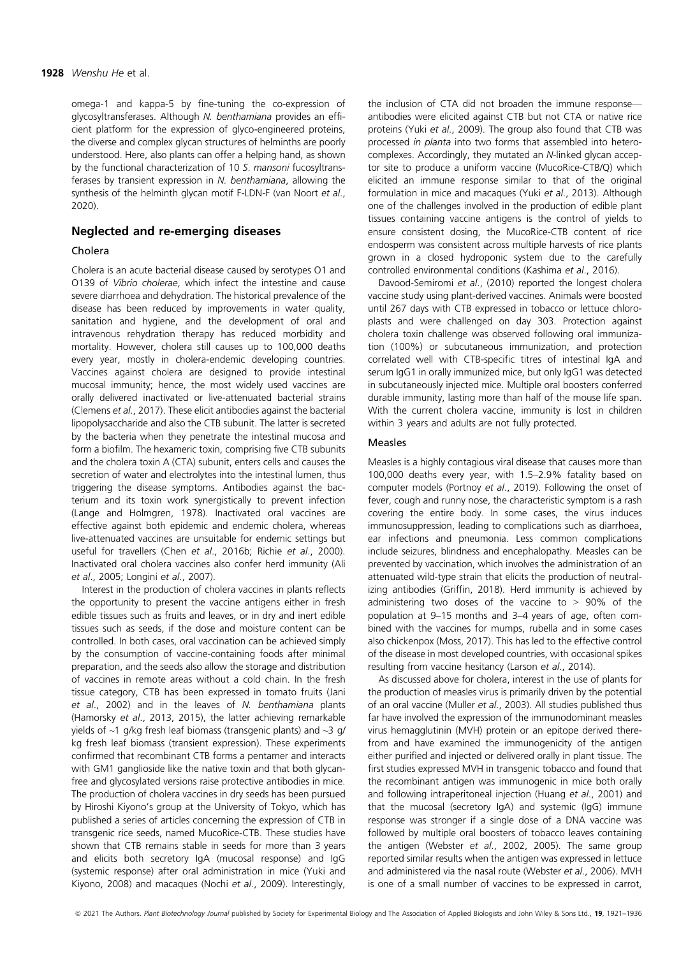omega-1 and kappa-5 by fine-tuning the co-expression of glycosyltransferases. Although N. benthamiana provides an efficient platform for the expression of glyco-engineered proteins, the diverse and complex glycan structures of helminths are poorly understood. Here, also plants can offer a helping hand, as shown by the functional characterization of 10 S. mansoni fucosyltransferases by transient expression in N. benthamiana, allowing the synthesis of the helminth glycan motif F-LDN-F (van Noort et al., 2020).

### Neglected and re-emerging diseases

Cholera is an acute bacterial disease caused by serotypes O1 and O139 of Vibrio cholerae, which infect the intestine and cause severe diarrhoea and dehydration. The historical prevalence of the disease has been reduced by improvements in water quality, sanitation and hygiene, and the development of oral and intravenous rehydration therapy has reduced morbidity and mortality. However, cholera still causes up to 100,000 deaths every year, mostly in cholera-endemic developing countries. Vaccines against cholera are designed to provide intestinal mucosal immunity; hence, the most widely used vaccines are orally delivered inactivated or live-attenuated bacterial strains (Clemens et al., 2017). These elicit antibodies against the bacterial lipopolysaccharide and also the CTB subunit. The latter is secreted by the bacteria when they penetrate the intestinal mucosa and form a biofilm. The hexameric toxin, comprising five CTB subunits and the cholera toxin A (CTA) subunit, enters cells and causes the secretion of water and electrolytes into the intestinal lumen, thus triggering the disease symptoms. Antibodies against the bacterium and its toxin work synergistically to prevent infection (Lange and Holmgren, 1978). Inactivated oral vaccines are effective against both epidemic and endemic cholera, whereas live-attenuated vaccines are unsuitable for endemic settings but useful for travellers (Chen et al., 2016b; Richie et al., 2000). Inactivated oral cholera vaccines also confer herd immunity (Ali et al., 2005; Longini et al., 2007).

Interest in the production of cholera vaccines in plants reflects the opportunity to present the vaccine antigens either in fresh edible tissues such as fruits and leaves, or in dry and inert edible tissues such as seeds, if the dose and moisture content can be controlled. In both cases, oral vaccination can be achieved simply by the consumption of vaccine-containing foods after minimal preparation, and the seeds also allow the storage and distribution of vaccines in remote areas without a cold chain. In the fresh tissue category, CTB has been expressed in tomato fruits (Jani et al., 2002) and in the leaves of N. benthamiana plants (Hamorsky et al., 2013, 2015), the latter achieving remarkable yields of  $\sim$ 1 g/kg fresh leaf biomass (transgenic plants) and  $\sim$ 3 g/ kg fresh leaf biomass (transient expression). These experiments confirmed that recombinant CTB forms a pentamer and interacts with GM1 ganglioside like the native toxin and that both glycanfree and glycosylated versions raise protective antibodies in mice. The production of cholera vaccines in dry seeds has been pursued by Hiroshi Kiyono's group at the University of Tokyo, which has published a series of articles concerning the expression of CTB in transgenic rice seeds, named MucoRice-CTB. These studies have shown that CTB remains stable in seeds for more than 3 years and elicits both secretory IgA (mucosal response) and IgG (systemic response) after oral administration in mice (Yuki and Kiyono, 2008) and macaques (Nochi et al., 2009). Interestingly,

the inclusion of CTA did not broaden the immune response antibodies were elicited against CTB but not CTA or native rice proteins (Yuki et al., 2009). The group also found that CTB was processed in planta into two forms that assembled into heterocomplexes. Accordingly, they mutated an N-linked glycan acceptor site to produce a uniform vaccine (MucoRice-CTB/Q) which elicited an immune response similar to that of the original formulation in mice and macaques (Yuki et al., 2013). Although one of the challenges involved in the production of edible plant tissues containing vaccine antigens is the control of yields to ensure consistent dosing, the MucoRice-CTB content of rice endosperm was consistent across multiple harvests of rice plants grown in a closed hydroponic system due to the carefully controlled environmental conditions (Kashima et al., 2016).

Davood-Semiromi et al., (2010) reported the longest cholera vaccine study using plant-derived vaccines. Animals were boosted until 267 days with CTB expressed in tobacco or lettuce chloroplasts and were challenged on day 303. Protection against cholera toxin challenge was observed following oral immunization (100%) or subcutaneous immunization, and protection correlated well with CTB-specific titres of intestinal IgA and serum IgG1 in orally immunized mice, but only IgG1 was detected in subcutaneously injected mice. Multiple oral boosters conferred durable immunity, lasting more than half of the mouse life span. With the current cholera vaccine, immunity is lost in children within 3 years and adults are not fully protected.

#### **Measles**

Measles is a highly contagious viral disease that causes more than 100,000 deaths every year, with 1.5–2.9% fatality based on computer models (Portnoy et al., 2019). Following the onset of fever, cough and runny nose, the characteristic symptom is a rash covering the entire body. In some cases, the virus induces immunosuppression, leading to complications such as diarrhoea, ear infections and pneumonia. Less common complications include seizures, blindness and encephalopathy. Measles can be prevented by vaccination, which involves the administration of an attenuated wild-type strain that elicits the production of neutralizing antibodies (Griffin, 2018). Herd immunity is achieved by administering two doses of the vaccine to  $> 90\%$  of the population at 9–15 months and 3–4 years of age, often combined with the vaccines for mumps, rubella and in some cases also chickenpox (Moss, 2017). This has led to the effective control of the disease in most developed countries, with occasional spikes resulting from vaccine hesitancy (Larson et al., 2014).

As discussed above for cholera, interest in the use of plants for the production of measles virus is primarily driven by the potential of an oral vaccine (Muller et al., 2003). All studies published thus far have involved the expression of the immunodominant measles virus hemagglutinin (MVH) protein or an epitope derived therefrom and have examined the immunogenicity of the antigen either purified and injected or delivered orally in plant tissue. The first studies expressed MVH in transgenic tobacco and found that the recombinant antigen was immunogenic in mice both orally and following intraperitoneal injection (Huang et al., 2001) and that the mucosal (secretory IgA) and systemic (IgG) immune response was stronger if a single dose of a DNA vaccine was followed by multiple oral boosters of tobacco leaves containing the antigen (Webster et al., 2002, 2005). The same group reported similar results when the antigen was expressed in lettuce and administered via the nasal route (Webster et al., 2006). MVH is one of a small number of vaccines to be expressed in carrot,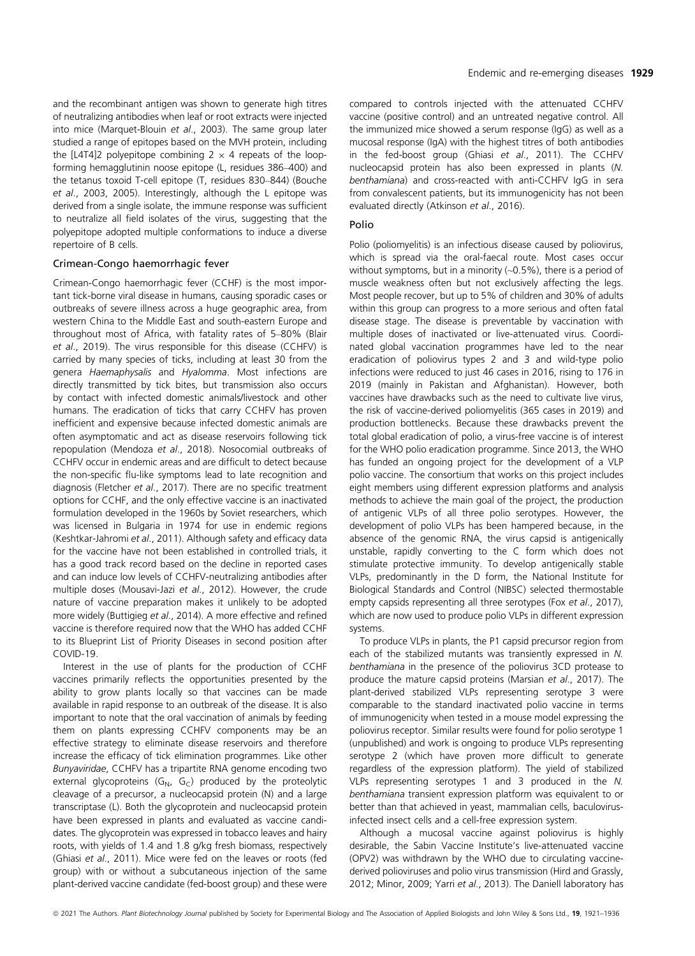and the recombinant antigen was shown to generate high titres of neutralizing antibodies when leaf or root extracts were injected into mice (Marquet-Blouin et al., 2003). The same group later studied a range of epitopes based on the MVH protein, including the [L4T4]2 polyepitope combining  $2 \times 4$  repeats of the loopforming hemagglutinin noose epitope (L, residues 386–400) and the tetanus toxoid T-cell epitope (T, residues 830–844) (Bouche et al., 2003, 2005). Interestingly, although the L epitope was derived from a single isolate, the immune response was sufficient to neutralize all field isolates of the virus, suggesting that the polyepitope adopted multiple conformations to induce a diverse repertoire of B cells.

#### Crimean-Congo haemorrhagic fever

Crimean-Congo haemorrhagic fever Crimean-Congo haemorrhagic fever (CCHF) is the most important tick-borne viral disease in humans, causing sporadic cases or outbreaks of severe illness across a huge geographic area, from western China to the Middle East and south-eastern Europe and throughout most of Africa, with fatality rates of 5–80% (Blair et al., 2019). The virus responsible for this disease (CCHFV) is carried by many species of ticks, including at least 30 from the genera Haemaphysalis and Hyalomma. Most infections are directly transmitted by tick bites, but transmission also occurs by contact with infected domestic animals/livestock and other humans. The eradication of ticks that carry CCHFV has proven inefficient and expensive because infected domestic animals are often asymptomatic and act as disease reservoirs following tick repopulation (Mendoza et al., 2018). Nosocomial outbreaks of CCHFV occur in endemic areas and are difficult to detect because the non-specific flu-like symptoms lead to late recognition and diagnosis (Fletcher et al., 2017). There are no specific treatment options for CCHF, and the only effective vaccine is an inactivated formulation developed in the 1960s by Soviet researchers, which was licensed in Bulgaria in 1974 for use in endemic regions (Keshtkar-Jahromi et al., 2011). Although safety and efficacy data for the vaccine have not been established in controlled trials, it has a good track record based on the decline in reported cases and can induce low levels of CCHFV-neutralizing antibodies after multiple doses (Mousavi-Jazi et al., 2012). However, the crude nature of vaccine preparation makes it unlikely to be adopted more widely (Buttigieg et al., 2014). A more effective and refined vaccine is therefore required now that the WHO has added CCHF to its Blueprint List of Priority Diseases in second position after COVID-19.

Interest in the use of plants for the production of CCHF vaccines primarily reflects the opportunities presented by the ability to grow plants locally so that vaccines can be made available in rapid response to an outbreak of the disease. It is also important to note that the oral vaccination of animals by feeding them on plants expressing CCHFV components may be an effective strategy to eliminate disease reservoirs and therefore increase the efficacy of tick elimination programmes. Like other Bunyaviridae, CCHFV has a tripartite RNA genome encoding two external glycoproteins  $(G_N, G_C)$  produced by the proteolytic cleavage of a precursor, a nucleocapsid protein (N) and a large transcriptase (L). Both the glycoprotein and nucleocapsid protein have been expressed in plants and evaluated as vaccine candidates. The glycoprotein was expressed in tobacco leaves and hairy roots, with yields of 1.4 and 1.8 g/kg fresh biomass, respectively (Ghiasi et al., 2011). Mice were fed on the leaves or roots (fed group) with or without a subcutaneous injection of the same plant-derived vaccine candidate (fed-boost group) and these were

compared to controls injected with the attenuated CCHFV vaccine (positive control) and an untreated negative control. All the immunized mice showed a serum response (IgG) as well as a mucosal response (IgA) with the highest titres of both antibodies in the fed-boost group (Ghiasi et al., 2011). The CCHFV nucleocapsid protein has also been expressed in plants (N. benthamiana) and cross-reacted with anti-CCHFV IgG in sera from convalescent patients, but its immunogenicity has not been evaluated directly (Atkinson et al., 2016).

Polio (poliomyelitis) is an infectious disease caused by poliovirus, which is spread via the oral-faecal route. Most cases occur without symptoms, but in a minority (~0.5%), there is a period of muscle weakness often but not exclusively affecting the legs. Most people recover, but up to 5% of children and 30% of adults within this group can progress to a more serious and often fatal disease stage. The disease is preventable by vaccination with multiple doses of inactivated or live-attenuated virus. Coordinated global vaccination programmes have led to the near eradication of poliovirus types 2 and 3 and wild-type polio infections were reduced to just 46 cases in 2016, rising to 176 in 2019 (mainly in Pakistan and Afghanistan). However, both vaccines have drawbacks such as the need to cultivate live virus, the risk of vaccine-derived poliomyelitis (365 cases in 2019) and production bottlenecks. Because these drawbacks prevent the total global eradication of polio, a virus-free vaccine is of interest for the WHO polio eradication programme. Since 2013, the WHO has funded an ongoing project for the development of a VLP polio vaccine. The consortium that works on this project includes eight members using different expression platforms and analysis methods to achieve the main goal of the project, the production of antigenic VLPs of all three polio serotypes. However, the development of polio VLPs has been hampered because, in the absence of the genomic RNA, the virus capsid is antigenically unstable, rapidly converting to the C form which does not stimulate protective immunity. To develop antigenically stable VLPs, predominantly in the D form, the National Institute for Biological Standards and Control (NIBSC) selected thermostable empty capsids representing all three serotypes (Fox et al., 2017), which are now used to produce polio VLPs in different expression systems.

To produce VLPs in plants, the P1 capsid precursor region from each of the stabilized mutants was transiently expressed in N. benthamiana in the presence of the poliovirus 3CD protease to produce the mature capsid proteins (Marsian et al., 2017). The plant-derived stabilized VLPs representing serotype 3 were comparable to the standard inactivated polio vaccine in terms of immunogenicity when tested in a mouse model expressing the poliovirus receptor. Similar results were found for polio serotype 1 (unpublished) and work is ongoing to produce VLPs representing serotype 2 (which have proven more difficult to generate regardless of the expression platform). The yield of stabilized VLPs representing serotypes 1 and 3 produced in the N. benthamiana transient expression platform was equivalent to or better than that achieved in yeast, mammalian cells, baculovirusinfected insect cells and a cell-free expression system.

Although a mucosal vaccine against poliovirus is highly desirable, the Sabin Vaccine Institute's live-attenuated vaccine (OPV2) was withdrawn by the WHO due to circulating vaccinederived polioviruses and polio virus transmission (Hird and Grassly, 2012; Minor, 2009; Yarri et al., 2013). The Daniell laboratory has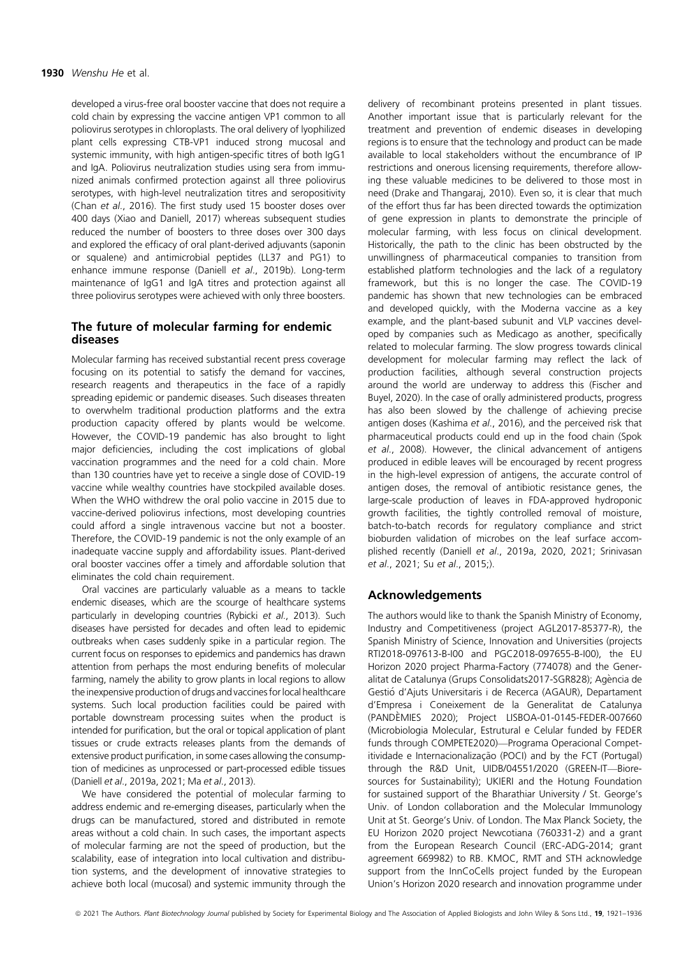developed a virus-free oral booster vaccine that does not require a cold chain by expressing the vaccine antigen VP1 common to all poliovirus serotypes in chloroplasts. The oral delivery of lyophilized plant cells expressing CTB-VP1 induced strong mucosal and systemic immunity, with high antigen-specific titres of both IgG1 and IgA. Poliovirus neutralization studies using sera from immunized animals confirmed protection against all three poliovirus serotypes, with high-level neutralization titres and seropositivity (Chan et al., 2016). The first study used 15 booster doses over 400 days (Xiao and Daniell, 2017) whereas subsequent studies reduced the number of boosters to three doses over 300 days and explored the efficacy of oral plant-derived adjuvants (saponin or squalene) and antimicrobial peptides (LL37 and PG1) to enhance immune response (Daniell et al., 2019b). Long-term maintenance of IgG1 and IgA titres and protection against all three poliovirus serotypes were achieved with only three boosters.

# The future of molecular farming for endemic diseases

Molecular farming has received substantial recent press coverage focusing on its potential to satisfy the demand for vaccines, research reagents and therapeutics in the face of a rapidly spreading epidemic or pandemic diseases. Such diseases threaten to overwhelm traditional production platforms and the extra production capacity offered by plants would be welcome. However, the COVID-19 pandemic has also brought to light major deficiencies, including the cost implications of global vaccination programmes and the need for a cold chain. More than 130 countries have yet to receive a single dose of COVID-19 vaccine while wealthy countries have stockpiled available doses. When the WHO withdrew the oral polio vaccine in 2015 due to vaccine-derived poliovirus infections, most developing countries could afford a single intravenous vaccine but not a booster. Therefore, the COVID-19 pandemic is not the only example of an inadequate vaccine supply and affordability issues. Plant-derived oral booster vaccines offer a timely and affordable solution that eliminates the cold chain requirement.

Oral vaccines are particularly valuable as a means to tackle endemic diseases, which are the scourge of healthcare systems particularly in developing countries (Rybicki et al., 2013). Such diseases have persisted for decades and often lead to epidemic outbreaks when cases suddenly spike in a particular region. The current focus on responses to epidemics and pandemics has drawn attention from perhaps the most enduring benefits of molecular farming, namely the ability to grow plants in local regions to allow the inexpensive production of drugs and vaccines for local healthcare systems. Such local production facilities could be paired with portable downstream processing suites when the product is intended for purification, but the oral or topical application of plant tissues or crude extracts releases plants from the demands of extensive product purification, in some cases allowing the consumption of medicines as unprocessed or part-processed edible tissues (Daniell et al., 2019a, 2021; Ma et al., 2013).

We have considered the potential of molecular farming to address endemic and re-emerging diseases, particularly when the drugs can be manufactured, stored and distributed in remote areas without a cold chain. In such cases, the important aspects of molecular farming are not the speed of production, but the scalability, ease of integration into local cultivation and distribution systems, and the development of innovative strategies to achieve both local (mucosal) and systemic immunity through the

delivery of recombinant proteins presented in plant tissues. Another important issue that is particularly relevant for the treatment and prevention of endemic diseases in developing regions is to ensure that the technology and product can be made available to local stakeholders without the encumbrance of IP restrictions and onerous licensing requirements, therefore allowing these valuable medicines to be delivered to those most in need (Drake and Thangaraj, 2010). Even so, it is clear that much of the effort thus far has been directed towards the optimization of gene expression in plants to demonstrate the principle of molecular farming, with less focus on clinical development. Historically, the path to the clinic has been obstructed by the unwillingness of pharmaceutical companies to transition from established platform technologies and the lack of a regulatory framework, but this is no longer the case. The COVID-19 pandemic has shown that new technologies can be embraced and developed quickly, with the Moderna vaccine as a key example, and the plant-based subunit and VLP vaccines developed by companies such as Medicago as another, specifically related to molecular farming. The slow progress towards clinical development for molecular farming may reflect the lack of production facilities, although several construction projects around the world are underway to address this (Fischer and Buyel, 2020). In the case of orally administered products, progress has also been slowed by the challenge of achieving precise antigen doses (Kashima et al., 2016), and the perceived risk that pharmaceutical products could end up in the food chain (Spok et al., 2008). However, the clinical advancement of antigens produced in edible leaves will be encouraged by recent progress in the high-level expression of antigens, the accurate control of antigen doses, the removal of antibiotic resistance genes, the large-scale production of leaves in FDA-approved hydroponic growth facilities, the tightly controlled removal of moisture, batch-to-batch records for regulatory compliance and strict bioburden validation of microbes on the leaf surface accomplished recently (Daniell et al., 2019a, 2020, 2021; Srinivasan et al., 2021; Su et al., 2015;).

# Acknowledgements

The authors would like to thank the Spanish Ministry of Economy, Industry and Competitiveness (project AGL2017-85377-R), the Spanish Ministry of Science, Innovation and Universities (projects RTI2018-097613-B-I00 and PGC2018-097655-B-I00), the EU Horizon 2020 project Pharma-Factory (774078) and the Generalitat de Catalunya (Grups Consolidats2017-SGR828); Agència de Gestio d'Ajuts Universitaris i de Recerca (AGAUR), Departament d'Empresa i Coneixement de la Generalitat de Catalunya (PANDEMIES 2020); Project LISBOA-01-0145-FEDER-007660 (Microbiologia Molecular, Estrutural e Celular funded by FEDER funds through COMPETE2020)—Programa Operacional Competitividade e Internacionalização (POCI) and by the FCT (Portugal) through the R&D Unit, UIDB/04551/2020 (GREEN-IT—Bioresources for Sustainability); UKIERI and the Hotung Foundation for sustained support of the Bharathiar University / St. George's Univ. of London collaboration and the Molecular Immunology Unit at St. George's Univ. of London. The Max Planck Society, the EU Horizon 2020 project Newcotiana (760331-2) and a grant from the European Research Council (ERC-ADG-2014; grant agreement 669982) to RB. KMOC, RMT and STH acknowledge support from the InnCoCells project funded by the European Union's Horizon 2020 research and innovation programme under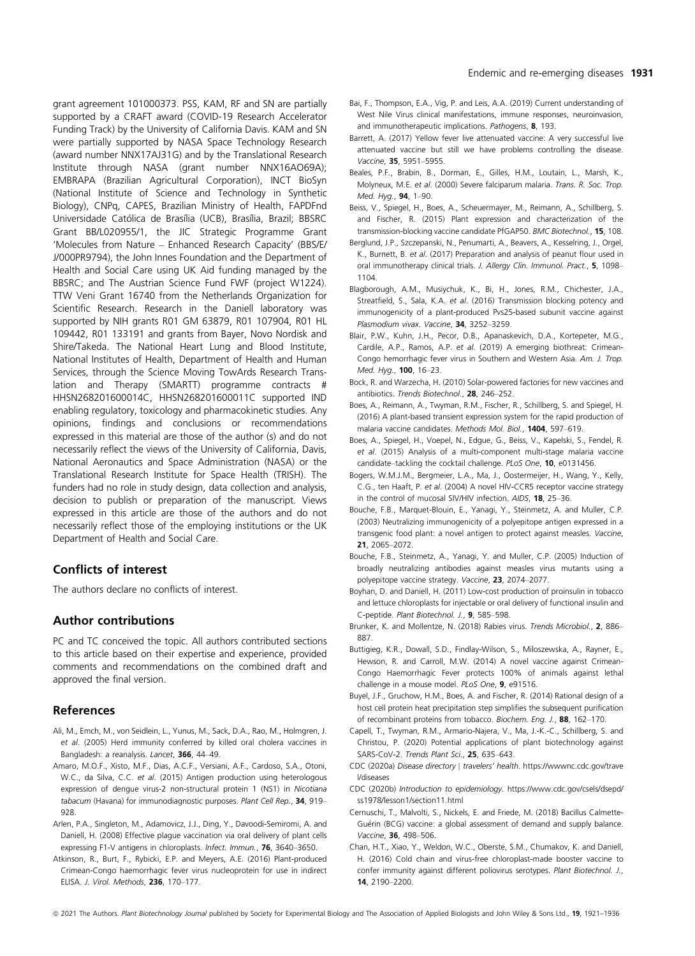grant agreement 101000373. PSS, KAM, RF and SN are partially supported by a CRAFT award (COVID-19 Research Accelerator Funding Track) by the University of California Davis. KAM and SN were partially supported by NASA Space Technology Research (award number NNX17AJ31G) and by the Translational Research Institute through NASA (grant number NNX16AO69A); EMBRAPA (Brazilian Agricultural Corporation), INCT BioSyn (National Institute of Science and Technology in Synthetic Biology), CNPq, CAPES, Brazilian Ministry of Health, FAPDFnd Universidade Católica de Brasília (UCB), Brasília, Brazil; BBSRC Grant BB/L020955/1, the JIC Strategic Programme Grant 'Molecules from Nature – Enhanced Research Capacity' (BBS/E/ J/000PR9794), the John Innes Foundation and the Department of Health and Social Care using UK Aid funding managed by the BBSRC; and The Austrian Science Fund FWF (project W1224). TTW Veni Grant 16740 from the Netherlands Organization for Scientific Research. Research in the Daniell laboratory was supported by NIH grants R01 GM 63879, R01 107904, R01 HL 109442, R01 133191 and grants from Bayer, Novo Nordisk and Shire/Takeda. The National Heart Lung and Blood Institute, National Institutes of Health, Department of Health and Human Services, through the Science Moving TowArds Research Translation and Therapy (SMARTT) programme contracts # HHSN268201600014C, HHSN268201600011C supported IND enabling regulatory, toxicology and pharmacokinetic studies. Any opinions, findings and conclusions or recommendations expressed in this material are those of the author (s) and do not necessarily reflect the views of the University of California, Davis, National Aeronautics and Space Administration (NASA) or the Translational Research Institute for Space Health (TRISH). The funders had no role in study design, data collection and analysis, decision to publish or preparation of the manuscript. Views expressed in this article are those of the authors and do not necessarily reflect those of the employing institutions or the UK Department of Health and Social Care.

# Conflicts of interest

The authors declare no conflicts of interest.

# Author contributions

PC and TC conceived the topic. All authors contributed sections to this article based on their expertise and experience, provided comments and recommendations on the combined draft and approved the final version.

## References

- Ali, M., Emch, M., von Seidlein, L., Yunus, M., Sack, D.A., Rao, M., Holmgren, J. et al. (2005) Herd immunity conferred by killed oral cholera vaccines in Bangladesh: a reanalysis. Lancet, 366, 44-49.
- Amaro, M.O.F., Xisto, M.F., Dias, A.C.F., Versiani, A.F., Cardoso, S.A., Otoni, W.C., da Silva, C.C. et al. (2015) Antigen production using heterologous expression of dengue virus-2 non-structural protein 1 (NS1) in Nicotiana tabacum (Havana) for immunodiagnostic purposes. Plant Cell Rep., 34, 919-928.
- Arlen, P.A., Singleton, M., Adamovicz, J.J., Ding, Y., Davoodi-Semiromi, A. and Daniell, H. (2008) Effective plague vaccination via oral delivery of plant cells expressing F1-V antigens in chloroplasts. Infect. Immun., 76, 3640-3650.
- Atkinson, R., Burt, F., Rybicki, E.P. and Meyers, A.E. (2016) Plant-produced Crimean-Congo haemorrhagic fever virus nucleoprotein for use in indirect ELISA. J. Virol. Methods, 236, 170–177.
- Bai, F., Thompson, E.A., Vig, P. and Leis, A.A. (2019) Current understanding of West Nile Virus clinical manifestations, immune responses, neuroinvasion, and immunotherapeutic implications. Pathogens, 8, 193.
- Barrett, A. (2017) Yellow fever live attenuated vaccine: A very successful live attenuated vaccine but still we have problems controlling the disease. Vaccine, 35, 5951–5955.
- Beales, P.F., Brabin, B., Dorman, E., Gilles, H.M., Loutain, L., Marsh, K., Molyneux, M.E. et al. (2000) Severe falciparum malaria. Trans. R. Soc. Trop. Med. Hyg., 94, 1–90.
- Beiss, V., Spiegel, H., Boes, A., Scheuermayer, M., Reimann, A., Schillberg, S. and Fischer, R. (2015) Plant expression and characterization of the transmission-blocking vaccine candidate PfGAP50. BMC Biotechnol., 15, 108.
- Berglund, J.P., Szczepanski, N., Penumarti, A., Beavers, A., Kesselring, J., Orgel, K., Burnett, B. et al. (2017) Preparation and analysis of peanut flour used in oral immunotherapy clinical trials. J. Allergy Clin. Immunol. Pract., 5, 1098-1104.
- Blagborough, A.M., Musiychuk, K., Bi, H., Jones, R.M., Chichester, J.A., Streatfield, S., Sala, K.A. et al. (2016) Transmission blocking potency and immunogenicity of a plant-produced Pvs25-based subunit vaccine against Plasmodium vivax. Vaccine, 34, 3252-3259.
- Blair, P.W., Kuhn, J.H., Pecor, D.B., Apanaskevich, D.A., Kortepeter, M.G., Cardile, A.P., Ramos, A.P. et al. (2019) A emerging biothreat: Crimean-Congo hemorrhagic fever virus in Southern and Western Asia. Am. J. Trop. Med. Hyg., 100, 16–23.
- Bock, R. and Warzecha, H. (2010) Solar-powered factories for new vaccines and antibiotics. Trends Biotechnol., 28, 246–252.
- Boes, A., Reimann, A., Twyman, R.M., Fischer, R., Schillberg, S. and Spiegel, H. (2016) A plant-based transient expression system for the rapid production of malaria vaccine candidates. Methods Mol. Biol., 1404, 597–619.
- Boes, A., Spiegel, H., Voepel, N., Edgue, G., Beiss, V., Kapelski, S., Fendel, R. et al. (2015) Analysis of a multi-component multi-stage malaria vaccine candidate–tackling the cocktail challenge. PLoS One, 10, e0131456.
- Bogers, W.M.J.M., Bergmeier, L.A., Ma, J., Oostermeijer, H., Wang, Y., Kelly, C.G., ten Haaft, P. et al. (2004) A novel HIV-CCR5 receptor vaccine strategy in the control of mucosal SIV/HIV infection. AIDS, 18, 25–36.
- Bouche, F.B., Marquet-Blouin, E., Yanagi, Y., Steinmetz, A. and Muller, C.P. (2003) Neutralizing immunogenicity of a polyepitope antigen expressed in a transgenic food plant: a novel antigen to protect against measles. Vaccine, 21, 2065–2072.
- Bouche, F.B., Steinmetz, A., Yanagi, Y. and Muller, C.P. (2005) Induction of broadly neutralizing antibodies against measles virus mutants using a polyepitope vaccine strategy. Vaccine, 23, 2074–2077.
- Boyhan, D. and Daniell, H. (2011) Low-cost production of proinsulin in tobacco and lettuce chloroplasts for injectable or oral delivery of functional insulin and C-peptide. Plant Biotechnol. J., 9, 585–598.
- Brunker, K. and Mollentze, N. (2018) Rabies virus. Trends Microbiol., 2, 886-887.
- Buttigieg, K.R., Dowall, S.D., Findlay-Wilson, S., Miloszewska, A., Rayner, E., Hewson, R. and Carroll, M.W. (2014) A novel vaccine against Crimean-Congo Haemorrhagic Fever protects 100% of animals against lethal challenge in a mouse model. PLoS One, 9, e91516.
- Buyel, J.F., Gruchow, H.M., Boes, A. and Fischer, R. (2014) Rational design of a host cell protein heat precipitation step simplifies the subsequent purification of recombinant proteins from tobacco. Biochem. Eng. J., 88, 162-170.
- Capell, T., Twyman, R.M., Armario-Najera, V., Ma, J.-K.-C., Schillberg, S. and Christou, P. (2020) Potential applications of plant biotechnology against SARS-CoV-2. Trends Plant Sci., 25, 635-643.
- CDC (2020a) Disease directory | travelers' health. [https://wwwnc.cdc.gov/trave](https://wwwnc.cdc.gov/travel/diseases) [l/diseases](https://wwwnc.cdc.gov/travel/diseases)
- CDC (2020b) Introduction to epidemiology. [https://www.cdc.gov/csels/dsepd/](https://www.cdc.gov/csels/dsepd/ss1978/lesson1/section11.html) [ss1978/lesson1/section11.html](https://www.cdc.gov/csels/dsepd/ss1978/lesson1/section11.html)
- Cernuschi, T., Malvolti, S., Nickels, E. and Friede, M. (2018) Bacillus Calmette-Guérin (BCG) vaccine: a global assessment of demand and supply balance. Vaccine, 36, 498–506.
- Chan, H.T., Xiao, Y., Weldon, W.C., Oberste, S.M., Chumakov, K. and Daniell, H. (2016) Cold chain and virus-free chloroplast-made booster vaccine to confer immunity against different poliovirus serotypes. Plant Biotechnol. J., 14, 2190–2200.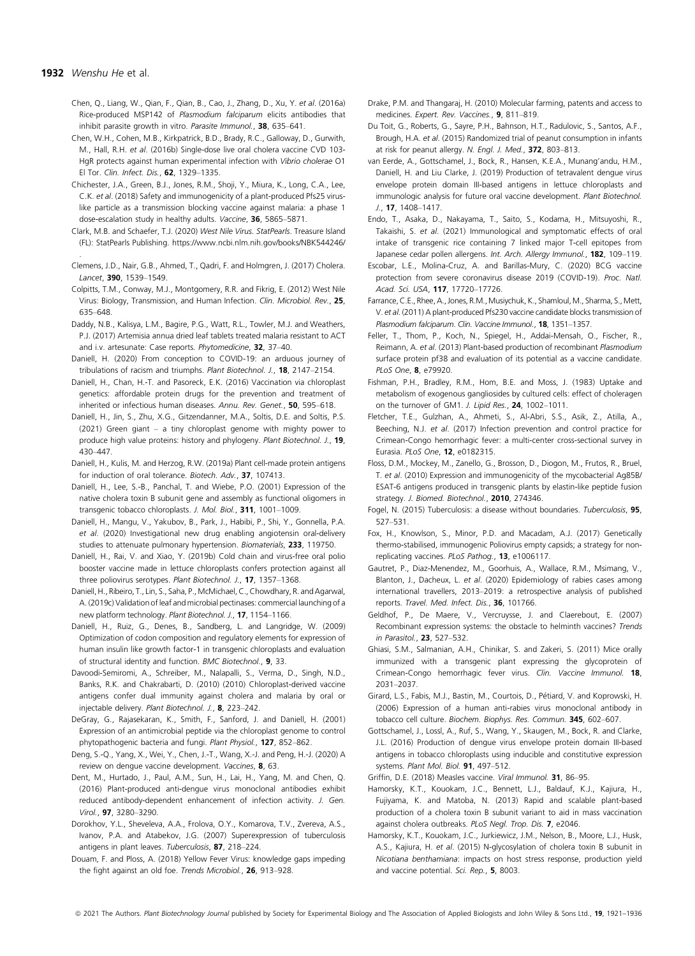#### 1932 Wenshu He et al.

- Chen, Q., Liang, W., Qian, F., Qian, B., Cao, J., Zhang, D., Xu, Y. et al. (2016a) Rice-produced MSP142 of Plasmodium falciparum elicits antibodies that inhibit parasite growth in vitro. Parasite Immunol., 38, 635-641.
- Chen, W.H., Cohen, M.B., Kirkpatrick, B.D., Brady, R.C., Galloway, D., Gurwith, M., Hall, R.H. et al. (2016b) Single-dose live oral cholera vaccine CVD 103- HgR protects against human experimental infection with Vibrio cholerae O1 El Tor. Clin. Infect. Dis., 62, 1329–1335.
- Chichester, J.A., Green, B.J., Jones, R.M., Shoji, Y., Miura, K., Long, C.A., Lee, C.K. et al. (2018) Safety and immunogenicity of a plant-produced Pfs25 viruslike particle as a transmission blocking vaccine against malaria: a phase 1 dose-escalation study in healthy adults. Vaccine, 36, 5865–5871.
- Clark, M.B. and Schaefer, T.J. (2020) West Nile Virus. StatPearls. Treasure Island (FL): StatPearls Publishing.<https://www.ncbi.nlm.nih.gov/books/NBK544246/> .
- Clemens, J.D., Nair, G.B., Ahmed, T., Qadri, F. and Holmgren, J. (2017) Cholera. Lancet, 390, 1539–1549.
- Colpitts, T.M., Conway, M.J., Montgomery, R.R. and Fikrig, E. (2012) West Nile Virus: Biology, Transmission, and Human Infection. Clin. Microbiol. Rev., 25, 635–648.
- Daddy, N.B., Kalisya, L.M., Bagire, P.G., Watt, R.L., Towler, M.J. and Weathers, P.J. (2017) Artemisia annua dried leaf tablets treated malaria resistant to ACT and i.v. artesunate: Case reports. Phytomedicine, 32, 37-40.
- Daniell, H. (2020) From conception to COVID-19: an arduous journey of tribulations of racism and triumphs. Plant Biotechnol. J., 18, 2147–2154.
- Daniell, H., Chan, H.-T. and Pasoreck, E.K. (2016) Vaccination via chloroplast genetics: affordable protein drugs for the prevention and treatment of inherited or infectious human diseases. Annu. Rev. Genet., 50, 595–618.
- Daniell, H., Jin, S., Zhu, X.G., Gitzendanner, M.A., Soltis, D.E. and Soltis, P.S. (2021) Green giant – a tiny chloroplast genome with mighty power to produce high value proteins: history and phylogeny. Plant Biotechnol. J., 19, 430–447.
- Daniell, H., Kulis, M. and Herzog, R.W. (2019a) Plant cell-made protein antigens for induction of oral tolerance. Biotech. Adv., 37, 107413.
- Daniell, H., Lee, S.-B., Panchal, T. and Wiebe, P.O. (2001) Expression of the native cholera toxin B subunit gene and assembly as functional oligomers in transgenic tobacco chloroplasts. J. Mol. Biol., 311, 1001–1009.
- Daniell, H., Mangu, V., Yakubov, B., Park, J., Habibi, P., Shi, Y., Gonnella, P.A. et al. (2020) Investigational new drug enabling angiotensin oral-delivery studies to attenuate pulmonary hypertension. Biomaterials, 233, 119750.
- Daniell, H., Rai, V. and Xiao, Y. (2019b) Cold chain and virus-free oral polio booster vaccine made in lettuce chloroplasts confers protection against all three poliovirus serotypes. Plant Biotechnol. J., 17, 1357-1368.
- Daniell,H., Ribeiro, T., Lin, S., Saha, P., McMichael, C., Chowdhary, R. and Agarwal, A. (2019c) Validation of leaf and microbial pectinases: commercial launching of a new platform technology. Plant Biotechnol. J., 17, 1154-1166.
- Daniell, H., Ruiz, G., Denes, B., Sandberg, L. and Langridge, W. (2009) Optimization of codon composition and regulatory elements for expression of human insulin like growth factor-1 in transgenic chloroplasts and evaluation of structural identity and function. BMC Biotechnol., 9, 33.
- Davoodi-Semiromi, A., Schreiber, M., Nalapalli, S., Verma, D., Singh, N.D., Banks, R.K. and Chakrabarti, D. (2010) (2010) Chloroplast-derived vaccine antigens confer dual immunity against cholera and malaria by oral or injectable delivery. Plant Biotechnol. J., 8, 223–242.
- DeGray, G., Rajasekaran, K., Smith, F., Sanford, J. and Daniell, H. (2001) Expression of an antimicrobial peptide via the chloroplast genome to control phytopathogenic bacteria and fungi. Plant Physiol., 127, 852-862.
- Deng, S.-Q., Yang, X., Wei, Y., Chen, J.-T., Wang, X.-J. and Peng, H.-J. (2020) A review on dengue vaccine development. Vaccines, 8, 63.
- Dent, M., Hurtado, J., Paul, A.M., Sun, H., Lai, H., Yang, M. and Chen, Q. (2016) Plant-produced anti-dengue virus monoclonal antibodies exhibit reduced antibody-dependent enhancement of infection activity. J. Gen. Virol., 97, 3280–3290.
- Dorokhov, Y.L., Sheveleva, A.A., Frolova, O.Y., Komarova, T.V., Zvereva, A.S., Ivanov, P.A. and Atabekov, J.G. (2007) Superexpression of tuberculosis antigens in plant leaves. Tuberculosis, 87, 218–224.
- Douam, F. and Ploss, A. (2018) Yellow Fever Virus: knowledge gaps impeding the fight against an old foe. Trends Microbiol., 26, 913–928.
- Drake, P.M. and Thangaraj, H. (2010) Molecular farming, patents and access to medicines. Expert. Rev. Vaccines., 9, 811–819.
- Du Toit, G., Roberts, G., Sayre, P.H., Bahnson, H.T., Radulovic, S., Santos, A.F., Brough, H.A. et al. (2015) Randomized trial of peanut consumption in infants at risk for peanut allergy. N. Engl. J. Med., 372, 803–813.
- van Eerde, A., Gottschamel, J., Bock, R., Hansen, K.E.A., Munang'andu, H.M., Daniell, H. and Liu Clarke, J. (2019) Production of tetravalent dengue virus envelope protein domain III-based antigens in lettuce chloroplasts and immunologic analysis for future oral vaccine development. Plant Biotechnol. J., 17, 1408–1417.
- Endo, T., Asaka, D., Nakayama, T., Saito, S., Kodama, H., Mitsuyoshi, R., Takaishi, S. et al. (2021) Immunological and symptomatic effects of oral intake of transgenic rice containing 7 linked major T-cell epitopes from Japanese cedar pollen allergens. Int. Arch. Allergy Immunol., 182, 109-119.
- Escobar, L.E., Molina-Cruz, A. and Barillas-Mury, C. (2020) BCG vaccine protection from severe coronavirus disease 2019 (COVID-19). Proc. Natl. Acad. Sci. USA, 117, 17720–17726.
- Farrance,C.E., Rhee,A., Jones, R.M.,Musiychuk, K., Shamloul,M., Sharma, S.,Mett, V. et al. (2011) A plant-produced Pfs230 vaccine candidate blocks transmission of Plasmodium falciparum. Clin. Vaccine Immunol., 18, 1351-1357.
- Feller, T., Thom, P., Koch, N., Spiegel, H., Addai-Mensah, O., Fischer, R., Reimann, A. et al. (2013) Plant-based production of recombinant Plasmodium surface protein pf38 and evaluation of its potential as a vaccine candidate. PLoS One, 8, e79920.
- Fishman, P.H., Bradley, R.M., Hom, B.E. and Moss, J. (1983) Uptake and metabolism of exogenous gangliosides by cultured cells: effect of choleragen on the turnover of GM1. J. Lipid Res., 24, 1002-1011.
- Fletcher, T.E., Gulzhan, A., Ahmeti, S., Al-Abri, S.S., Asik, Z., Atilla, A., Beeching, N.J. et al. (2017) Infection prevention and control practice for Crimean-Congo hemorrhagic fever: a multi-center cross-sectional survey in Eurasia. PLoS One, 12, e0182315.
- Floss, D.M., Mockey, M., Zanello, G., Brosson, D., Diogon, M., Frutos, R., Bruel, T. et al. (2010) Expression and immunogenicity of the mycobacterial Ag85B/ ESAT-6 antigens produced in transgenic plants by elastin-like peptide fusion strategy. J. Biomed. Biotechnol., 2010, 274346.
- Fogel, N. (2015) Tuberculosis: a disease without boundaries. Tuberculosis, 95, 527–531.
- Fox, H., Knowlson, S., Minor, P.D. and Macadam, A.J. (2017) Genetically thermo-stabilised, immunogenic Poliovirus empty capsids; a strategy for nonreplicating vaccines. PLoS Pathog., 13, e1006117.
- Gautret, P., Diaz-Menendez, M., Goorhuis, A., Wallace, R.M., Msimang, V., Blanton, J., Dacheux, L. et al. (2020) Epidemiology of rabies cases among international travellers, 2013–2019: a retrospective analysis of published reports. Travel. Med. Infect. Dis., 36, 101766.
- Geldhof, P., De Maere, V., Vercruysse, J. and Claerebout, E. (2007) Recombinant expression systems: the obstacle to helminth vaccines? Trends in Parasitol., 23, 527–532.
- Ghiasi, S.M., Salmanian, A.H., Chinikar, S. and Zakeri, S. (2011) Mice orally immunized with a transgenic plant expressing the glycoprotein of Crimean-Congo hemorrhagic fever virus. Clin. Vaccine Immunol. 18, 2031–2037.
- Girard, L.S., Fabis, M.J., Bastin, M., Courtois, D., Petiard, V. and Koprowski, H. (2006) Expression of a human anti-rabies virus monoclonal antibody in tobacco cell culture. Biochem. Biophys. Res. Commun. 345, 602-607.
- Gottschamel, J., Lossl, A., Ruf, S., Wang, Y., Skaugen, M., Bock, R. and Clarke, J.L. (2016) Production of dengue virus envelope protein domain III-based antigens in tobacco chloroplasts using inducible and constitutive expression systems. Plant Mol. Biol. 91, 497-512.
- Griffin, D.E. (2018) Measles vaccine. Viral Immunol. 31, 86-95.
- Hamorsky, K.T., Kouokam, J.C., Bennett, L.J., Baldauf, K.J., Kajiura, H., Fujiyama, K. and Matoba, N. (2013) Rapid and scalable plant-based production of a cholera toxin B subunit variant to aid in mass vaccination against cholera outbreaks. PLoS Negl. Trop. Dis. 7, e2046.
- Hamorsky, K.T., Kouokam, J.C., Jurkiewicz, J.M., Nelson, B., Moore, L.J., Husk, A.S., Kajiura, H. et al. (2015) N-glycosylation of cholera toxin B subunit in Nicotiana benthamiana: impacts on host stress response, production yield and vaccine potential. Sci. Rep., 5, 8003.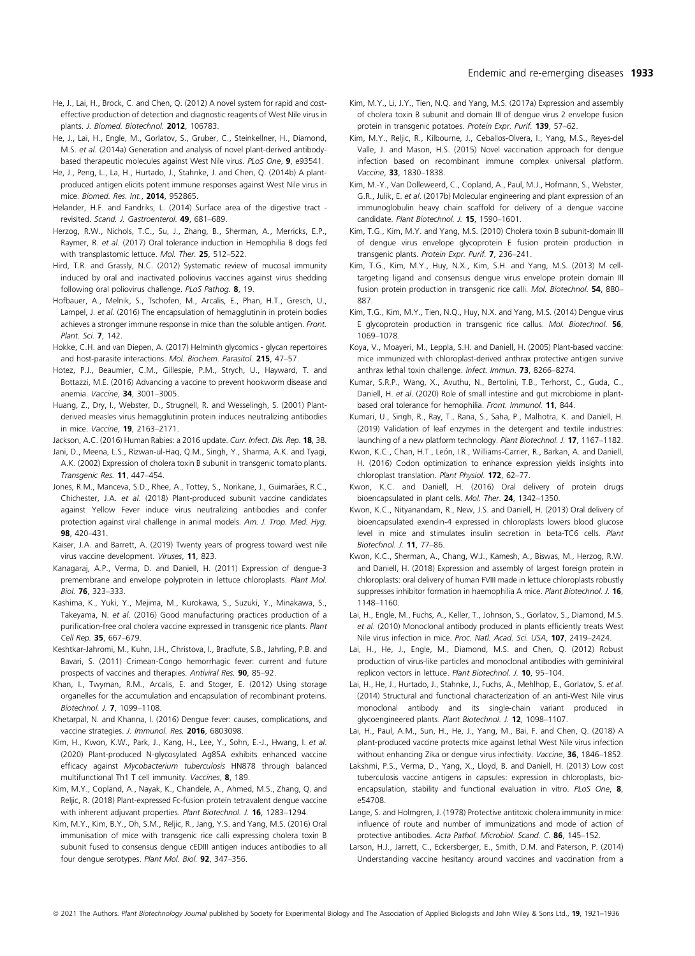- He, J., Lai, H., Brock, C. and Chen, Q. (2012) A novel system for rapid and costeffective production of detection and diagnostic reagents of West Nile virus in plants. J. Biomed. Biotechnol. 2012, 106783.
- He, J., Lai, H., Engle, M., Gorlatov, S., Gruber, C., Steinkellner, H., Diamond, M.S. et al. (2014a) Generation and analysis of novel plant-derived antibodybased therapeutic molecules against West Nile virus. PLoS One, 9, e93541.
- He, J., Peng, L., La, H., Hurtado, J., Stahnke, J. and Chen, Q. (2014b) A plantproduced antigen elicits potent immune responses against West Nile virus in mice. Biomed. Res. Int., 2014, 952865.
- Helander, H.F. and Fandriks, L. (2014) Surface area of the digestive tract revisited. Scand. J. Gastroenterol. 49, 681–689.
- Herzog, R.W., Nichols, T.C., Su, J., Zhang, B., Sherman, A., Merricks, E.P., Raymer, R. et al. (2017) Oral tolerance induction in Hemophilia B dogs fed with transplastomic lettuce. Mol. Ther. 25, 512-522.
- Hird, T.R. and Grassly, N.C. (2012) Systematic review of mucosal immunity induced by oral and inactivated poliovirus vaccines against virus shedding following oral poliovirus challenge. PLoS Pathog. 8, 19.
- Hofbauer, A., Melnik, S., Tschofen, M., Arcalis, E., Phan, H.T., Gresch, U., Lampel, J. et al. (2016) The encapsulation of hemagglutinin in protein bodies achieves a stronger immune response in mice than the soluble antigen. Front. Plant. Sci. 7, 142.
- Hokke, C.H. and van Diepen, A. (2017) Helminth glycomics glycan repertoires and host-parasite interactions. Mol. Biochem. Parasitol. 215, 47–57.
- Hotez, P.J., Beaumier, C.M., Gillespie, P.M., Strych, U., Hayward, T. and Bottazzi, M.E. (2016) Advancing a vaccine to prevent hookworm disease and anemia. Vaccine, 34, 3001–3005.
- Huang, Z., Dry, I., Webster, D., Strugnell, R. and Wesselingh, S. (2001) Plantderived measles virus hemagglutinin protein induces neutralizing antibodies in mice. Vaccine, 19, 2163–2171.
- Jackson, A.C. (2016) Human Rabies: a 2016 update. Curr. Infect. Dis. Rep. 18, 38.
- Jani, D., Meena, L.S., Rizwan-ul-Haq, Q.M., Singh, Y., Sharma, A.K. and Tyagi, A.K. (2002) Expression of cholera toxin B subunit in transgenic tomato plants. Transgenic Res. 11, 447–454.
- Jones, R.M., Manceva, S.D., Rhee, A., Tottey, S., Norikane, J., Guimarães, R.C., Chichester, J.A. et al. (2018) Plant-produced subunit vaccine candidates against Yellow Fever induce virus neutralizing antibodies and confer protection against viral challenge in animal models. Am. J. Trop. Med. Hyg. 98, 420-431
- Kaiser, J.A. and Barrett, A. (2019) Twenty years of progress toward west nile virus vaccine development. Viruses, 11, 823.
- Kanagaraj, A.P., Verma, D. and Daniell, H. (2011) Expression of dengue-3 premembrane and envelope polyprotein in lettuce chloroplasts. Plant Mol. Biol. 76, 323–333.
- Kashima, K., Yuki, Y., Mejima, M., Kurokawa, S., Suzuki, Y., Minakawa, S., Takeyama, N. et al. (2016) Good manufacturing practices production of a purification-free oral cholera vaccine expressed in transgenic rice plants. Plant Cell Rep. 35, 667–679.
- Keshtkar-Jahromi, M., Kuhn, J.H., Christova, I., Bradfute, S.B., Jahrling, P.B. and Bavari, S. (2011) Crimean-Congo hemorrhagic fever: current and future prospects of vaccines and therapies. Antiviral Res. 90, 85–92.
- Khan, I., Twyman, R.M., Arcalis, E. and Stoger, E. (2012) Using storage organelles for the accumulation and encapsulation of recombinant proteins. Biotechnol. J. 7, 1099–1108.
- Khetarpal, N. and Khanna, I. (2016) Dengue fever: causes, complications, and vaccine strategies. J. Immunol. Res. 2016, 6803098.
- Kim, H., Kwon, K.W., Park, J., Kang, H., Lee, Y., Sohn, E.-J., Hwang, I. et al. (2020) Plant-produced N-glycosylated Ag85A exhibits enhanced vaccine efficacy against Mycobacterium tuberculosis HN878 through balanced multifunctional Th1 T cell immunity. Vaccines, 8, 189.
- Kim, M.Y., Copland, A., Nayak, K., Chandele, A., Ahmed, M.S., Zhang, Q. and Reljic, R. (2018) Plant-expressed Fc-fusion protein tetravalent dengue vaccine with inherent adjuvant properties. Plant Biotechnol. J. 16, 1283-1294.
- Kim, M.Y., Kim, B.Y., Oh, S.M., Reljic, R., Jang, Y.S. and Yang, M.S. (2016) Oral immunisation of mice with transgenic rice calli expressing cholera toxin B subunit fused to consensus dengue cEDIII antigen induces antibodies to all four dengue serotypes. Plant Mol. Biol. 92, 347–356.
- Kim, M.Y., Li, J.Y., Tien, N.Q. and Yang, M.S. (2017a) Expression and assembly of cholera toxin B subunit and domain III of dengue virus 2 envelope fusion protein in transgenic potatoes. Protein Expr. Purif. 139, 57–62.
- Kim, M.Y., Reljic, R., Kilbourne, J., Ceballos-Olvera, I., Yang, M.S., Reyes-del Valle, J. and Mason, H.S. (2015) Novel vaccination approach for dengue infection based on recombinant immune complex universal platform. Vaccine, 33, 1830–1838.
- Kim, M.-Y., Van Dolleweerd, C., Copland, A., Paul, M.J., Hofmann, S., Webster, G.R., Julik, E. et al. (2017b) Molecular engineering and plant expression of an immunoglobulin heavy chain scaffold for delivery of a dengue vaccine candidate. Plant Biotechnol. J. 15, 1590–1601.
- Kim, T.G., Kim, M.Y. and Yang, M.S. (2010) Cholera toxin B subunit-domain III of dengue virus envelope glycoprotein E fusion protein production in transgenic plants. Protein Expr. Purif. 7, 236–241.
- Kim, T.G., Kim, M.Y., Huy, N.X., Kim, S.H. and Yang, M.S. (2013) M celltargeting ligand and consensus dengue virus envelope protein domain III fusion protein production in transgenic rice calli. Mol. Biotechnol. 54, 880-887.
- Kim, T.G., Kim, M.Y., Tien, N.Q., Huy, N.X. and Yang, M.S. (2014) Dengue virus E glycoprotein production in transgenic rice callus. Mol. Biotechnol. 56, 1069–1078.
- Koya, V., Moayeri, M., Leppla, S.H. and Daniell, H. (2005) Plant-based vaccine: mice immunized with chloroplast-derived anthrax protective antigen survive anthrax lethal toxin challenge. Infect. Immun. 73, 8266–8274.
- Kumar, S.R.P., Wang, X., Avuthu, N., Bertolini, T.B., Terhorst, C., Guda, C., Daniell, H. et al. (2020) Role of small intestine and gut microbiome in plantbased oral tolerance for hemophilia. Front. Immunol. 11, 844.
- Kumari, U., Singh, R., Ray, T., Rana, S., Saha, P., Malhotra, K. and Daniell, H. (2019) Validation of leaf enzymes in the detergent and textile industries: launching of a new platform technology. Plant Biotechnol. J. 17, 1167-1182.
- Kwon, K.C., Chan, H.T., León, J.R., Williams-Carrier, R., Barkan, A. and Daniell, H. (2016) Codon optimization to enhance expression yields insights into chloroplast translation. Plant Physiol. 172, 62–77.
- Kwon, K.C. and Daniell, H. (2016) Oral delivery of protein drugs bioencapsulated in plant cells. Mol. Ther. 24, 1342–1350.
- Kwon, K.C., Nityanandam, R., New, J.S. and Daniell, H. (2013) Oral delivery of bioencapsulated exendin-4 expressed in chloroplasts lowers blood glucose level in mice and stimulates insulin secretion in beta-TC6 cells. Plant Biotechnol. J. 11, 77–86.
- Kwon, K.C., Sherman, A., Chang, W.J., Kamesh, A., Biswas, M., Herzog, R.W. and Daniell, H. (2018) Expression and assembly of largest foreign protein in chloroplasts: oral delivery of human FVIII made in lettuce chloroplasts robustly suppresses inhibitor formation in haemophilia A mice. Plant Biotechnol. J. 16, 1148–1160.
- Lai, H., Engle, M., Fuchs, A., Keller, T., Johnson, S., Gorlatov, S., Diamond, M.S. et al. (2010) Monoclonal antibody produced in plants efficiently treats West Nile virus infection in mice. Proc. Natl. Acad. Sci. USA, 107, 2419-2424.
- Lai, H., He, J., Engle, M., Diamond, M.S. and Chen, Q. (2012) Robust production of virus-like particles and monoclonal antibodies with geminiviral replicon vectors in lettuce. Plant Biotechnol. J. 10, 95–104.
- Lai, H., He, J., Hurtado, J., Stahnke, J., Fuchs, A., Mehlhop, E., Gorlatov, S. et al. (2014) Structural and functional characterization of an anti-West Nile virus monoclonal antibody and its single-chain variant produced in glycoengineered plants. Plant Biotechnol. J. 12, 1098–1107.
- Lai, H., Paul, A.M., Sun, H., He, J., Yang, M., Bai, F. and Chen, Q. (2018) A plant-produced vaccine protects mice against lethal West Nile virus infection without enhancing Zika or dengue virus infectivity. Vaccine, 36, 1846-1852.
- Lakshmi, P.S., Verma, D., Yang, X., Lloyd, B. and Daniell, H. (2013) Low cost tuberculosis vaccine antigens in capsules: expression in chloroplasts, bioencapsulation, stability and functional evaluation in vitro. PLoS One, 8, e54708.
- Lange, S. and Holmgren, J. (1978) Protective antitoxic cholera immunity in mice: influence of route and number of immunizations and mode of action of protective antibodies. Acta Pathol. Microbiol. Scand. C. 86, 145–152.
- Larson, H.J., Jarrett, C., Eckersberger, E., Smith, D.M. and Paterson, P. (2014) Understanding vaccine hesitancy around vaccines and vaccination from a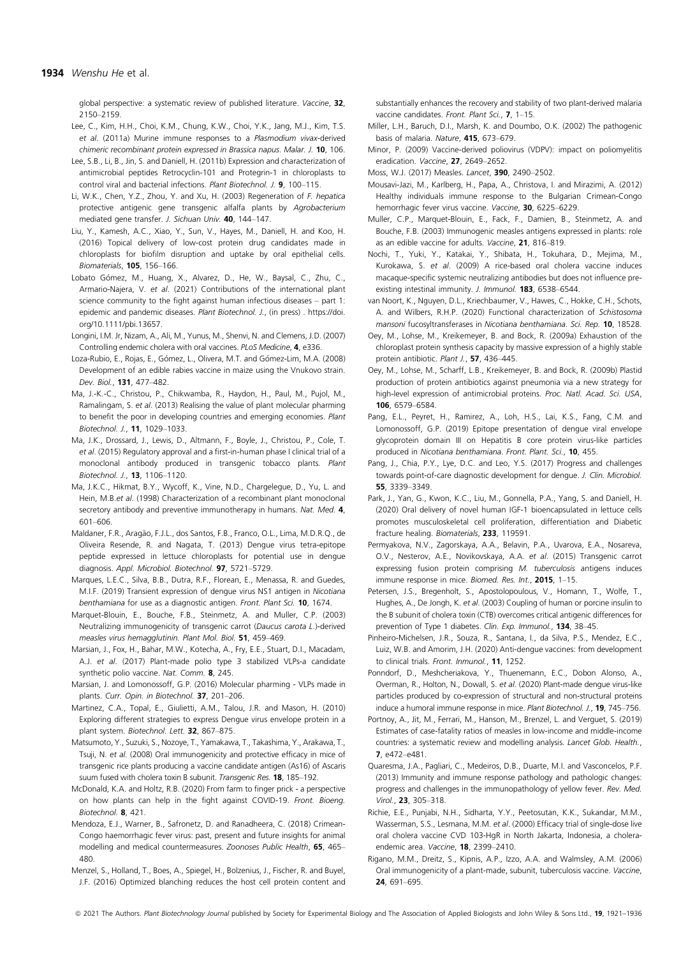global perspective: a systematic review of published literature. Vaccine, 32, 2150–2159.

- Lee, C., Kim, H.H., Choi, K.M., Chung, K.W., Choi, Y.K., Jang, M.J., Kim, T.S. et al. (2011a) Murine immune responses to a Plasmodium vivax-derived chimeric recombinant protein expressed in Brassica napus. Malar. J. 10, 106.
- Lee, S.B., Li, B., Jin, S. and Daniell, H. (2011b) Expression and characterization of antimicrobial peptides Retrocyclin-101 and Protegrin-1 in chloroplasts to control viral and bacterial infections. Plant Biotechnol. J. 9, 100–115.
- Li, W.K., Chen, Y.Z., Zhou, Y. and Xu, H. (2003) Regeneration of F. hepatica protective antigenic gene transgenic alfalfa plants by Agrobacterium mediated gene transfer. J. Sichuan Univ. 40, 144–147.
- Liu, Y., Kamesh, A.C., Xiao, Y., Sun, V., Hayes, M., Daniell, H. and Koo, H. (2016) Topical delivery of low-cost protein drug candidates made in chloroplasts for biofilm disruption and uptake by oral epithelial cells. Biomaterials, 105, 156–166.
- Lobato Gómez, M., Huang, X., Alvarez, D., He, W., Baysal, C., Zhu, C., Armario-Najera, V. et al. (2021) Contributions of the international plant science community to the fight against human infectious diseases – part 1: epidemic and pandemic diseases. Plant Biotechnol. J., (in press). [https://doi.](https://doi.org/10.1111/pbi.13657) [org/10.1111/pbi.13657.](https://doi.org/10.1111/pbi.13657)
- Longini, I.M. Jr, Nizam, A., Ali, M., Yunus, M., Shenvi, N. and Clemens, J.D. (2007) Controlling endemic cholera with oral vaccines. PLoS Medicine, 4, e336.
- Loza-Rubio, E., Rojas, E., Gómez, L., Olivera, M.T. and Gómez-Lim, M.A. (2008) Development of an edible rabies vaccine in maize using the Vnukovo strain. Dev. Biol., 131, 477–482.
- Ma, J.-K.-C., Christou, P., Chikwamba, R., Haydon, H., Paul, M., Pujol, M., Ramalingam, S. et al. (2013) Realising the value of plant molecular pharming to benefit the poor in developing countries and emerging economies. Plant Biotechnol. J., 11, 1029–1033.
- Ma, J.K., Drossard, J., Lewis, D., Altmann, F., Boyle, J., Christou, P., Cole, T. et al. (2015) Regulatory approval and a first-in-human phase I clinical trial of a monoclonal antibody produced in transgenic tobacco plants. Plant Biotechnol. J., 13, 1106–1120.
- Ma, J.K.C., Hikmat, B.Y., Wycoff, K., Vine, N.D., Chargelegue, D., Yu, L. and Hein, M.B.et al. (1998) Characterization of a recombinant plant monoclonal secretory antibody and preventive immunotherapy in humans. Nat. Med. 4, 601–606.
- Maldaner, F.R., Aragão, F.J.L., dos Santos, F.B., Franco, O.L., Lima, M.D.R.Q., de Oliveira Resende, R. and Nagata, T. (2013) Dengue virus tetra-epitope peptide expressed in lettuce chloroplasts for potential use in dengue diagnosis. Appl. Microbiol. Biotechnol. 97, 5721–5729.
- Marques, L.E.C., Silva, B.B., Dutra, R.F., Florean, E., Menassa, R. and Guedes, M.I.F. (2019) Transient expression of dengue virus NS1 antigen in Nicotiana benthamiana for use as a diagnostic antigen. Front. Plant Sci. 10, 1674.
- Marquet-Blouin, E., Bouche, F.B., Steinmetz, A. and Muller, C.P. (2003) Neutralizing immunogenicity of transgenic carrot (Daucus carota L.)-derived measles virus hemagglutinin. Plant Mol. Biol. 51, 459-469.
- Marsian, J., Fox, H., Bahar, M.W., Kotecha, A., Fry, E.E., Stuart, D.I., Macadam, A.J. et al. (2017) Plant-made polio type 3 stabilized VLPs-a candidate synthetic polio vaccine. Nat. Comm. 8, 245.
- Marsian, J. and Lomonossoff, G.P. (2016) Molecular pharming VLPs made in plants. Curr. Opin. in Biotechnol. 37, 201–206.
- Martinez, C.A., Topal, E., Giulietti, A.M., Talou, J.R. and Mason, H. (2010) Exploring different strategies to express Dengue virus envelope protein in a plant system. Biotechnol. Lett. 32, 867–875.
- Matsumoto, Y., Suzuki, S., Nozoye, T., Yamakawa, T., Takashima, Y., Arakawa, T., Tsuji, N. et al. (2008) Oral immunogenicity and protective efficacy in mice of transgenic rice plants producing a vaccine candidate antigen (As16) of Ascaris suum fused with cholera toxin B subunit. Transgenic Res. 18, 185-192.
- McDonald, K.A. and Holtz, R.B. (2020) From farm to finger prick a perspective on how plants can help in the fight against COVID-19. Front. Bioeng. Biotechnol. 8, 421.
- Mendoza, E.J., Warner, B., Safronetz, D. and Ranadheera, C. (2018) Crimean-Congo haemorrhagic fever virus: past, present and future insights for animal modelling and medical countermeasures. Zoonoses Public Health, 65, 465– 480.
- Menzel, S., Holland, T., Boes, A., Spiegel, H., Bolzenius, J., Fischer, R. and Buyel, J.F. (2016) Optimized blanching reduces the host cell protein content and

substantially enhances the recovery and stability of two plant-derived malaria vaccine candidates. Front. Plant Sci., **7**, 1-15.

- Miller, L.H., Baruch, D.I., Marsh, K. and Doumbo, O.K. (2002) The pathogenic basis of malaria. Nature, 415, 673–679.
- Minor, P. (2009) Vaccine-derived poliovirus (VDPV): impact on poliomyelitis eradication. Vaccine, 27, 2649–2652.
- Moss, W.J. (2017) Measles. Lancet, 390, 2490–2502.
- Mousavi-Jazi, M., Karlberg, H., Papa, A., Christova, I. and Mirazimi, A. (2012) Healthy individuals immune response to the Bulgarian Crimean-Congo hemorrhagic fever virus vaccine. Vaccine, 30, 6225–6229.
- Muller, C.P., Marquet-Blouin, E., Fack, F., Damien, B., Steinmetz, A. and Bouche, F.B. (2003) Immunogenic measles antigens expressed in plants: role as an edible vaccine for adults. Vaccine, 21, 816–819.
- Nochi, T., Yuki, Y., Katakai, Y., Shibata, H., Tokuhara, D., Mejima, M., Kurokawa, S. et al. (2009) A rice-based oral cholera vaccine induces macaque-specific systemic neutralizing antibodies but does not influence preexisting intestinal immunity. J. Immunol. 183, 6538-6544.
- van Noort, K., Nguyen, D.L., Kriechbaumer, V., Hawes, C., Hokke, C.H., Schots, A. and Wilbers, R.H.P. (2020) Functional characterization of Schistosoma mansoni fucosyltransferases in Nicotiana benthamiana. Sci. Rep. 10, 18528.
- Oey, M., Lohse, M., Kreikemeyer, B. and Bock, R. (2009a) Exhaustion of the chloroplast protein synthesis capacity by massive expression of a highly stable protein antibiotic. Plant J., 57, 436-445.
- Oey, M., Lohse, M., Scharff, L.B., Kreikemeyer, B. and Bock, R. (2009b) Plastid production of protein antibiotics against pneumonia via a new strategy for high-level expression of antimicrobial proteins. Proc. Natl. Acad. Sci. USA, 106, 6579–6584.
- Pang, E.L., Peyret, H., Ramirez, A., Loh, H.S., Lai, K.S., Fang, C.M. and Lomonossoff, G.P. (2019) Epitope presentation of dengue viral envelope glycoprotein domain III on Hepatitis B core protein virus-like particles produced in Nicotiana benthamiana. Front. Plant. Sci., 10, 455.
- Pang, J., Chia, P.Y., Lye, D.C. and Leo, Y.S. (2017) Progress and challenges towards point-of-care diagnostic development for dengue. J. Clin. Microbiol. 55, 3339–3349.
- Park, J., Yan, G., Kwon, K.C., Liu, M., Gonnella, P.A., Yang, S. and Daniell, H. (2020) Oral delivery of novel human IGF-1 bioencapsulated in lettuce cells promotes musculoskeletal cell proliferation, differentiation and Diabetic fracture healing. Biomaterials, 233, 119591.
- Permyakova, N.V., Zagorskaya, A.A., Belavin, P.A., Uvarova, E.A., Nosareva, O.V., Nesterov, A.E., Novikovskaya, A.A. et al. (2015) Transgenic carrot expressing fusion protein comprising M. tuberculosis antigens induces immune response in mice. Biomed. Res. Int., 2015, 1-15.
- Petersen, J.S., Bregenholt, S., Apostolopoulous, V., Homann, T., Wolfe, T., Hughes, A., De Jongh, K. et al. (2003) Coupling of human or porcine insulin to the B subunit of cholera toxin (CTB) overcomes critical antigenic differences for prevention of Type 1 diabetes. Clin. Exp. Immunol., 134, 38-45.
- Pinheiro-Michelsen, J.R., Souza, R., Santana, I., da Silva, P.S., Mendez, E.C., Luiz, W.B. and Amorim, J.H. (2020) Anti-dengue vaccines: from development to clinical trials. Front. Inmunol., 11, 1252.
- Ponndorf, D., Meshcheriakova, Y., Thuenemann, E.C., Dobon Alonso, A., Overman, R., Holton, N., Dowall, S. et al. (2020) Plant-made dengue virus-like particles produced by co-expression of structural and non-structural proteins induce a humoral immune response in mice. Plant Biotechnol. J., **19**, 745–756.
- Portnoy, A., Jit, M., Ferrari, M., Hanson, M., Brenzel, L. and Verguet, S. (2019) Estimates of case-fatality ratios of measles in low-income and middle-income countries: a systematic review and modelling analysis. Lancet Glob. Health., 7, e472–e481.
- Quaresma, J.A., Pagliari, C., Medeiros, D.B., Duarte, M.I. and Vasconcelos, P.F. (2013) Immunity and immune response pathology and pathologic changes: progress and challenges in the immunopathology of yellow fever. Rev. Med. Virol., 23, 305–318.
- Richie, E.E., Punjabi, N.H., Sidharta, Y.Y., Peetosutan, K.K., Sukandar, M.M., Wasserman, S.S., Lesmana, M.M. et al. (2000) Efficacy trial of single-dose live oral cholera vaccine CVD 103-HgR in North Jakarta, Indonesia, a choleraendemic area. Vaccine, 18, 2399–2410.
- Rigano, M.M., Dreitz, S., Kipnis, A.P., Izzo, A.A. and Walmsley, A.M. (2006) Oral immunogenicity of a plant-made, subunit, tuberculosis vaccine. Vaccine, 24, 691–695.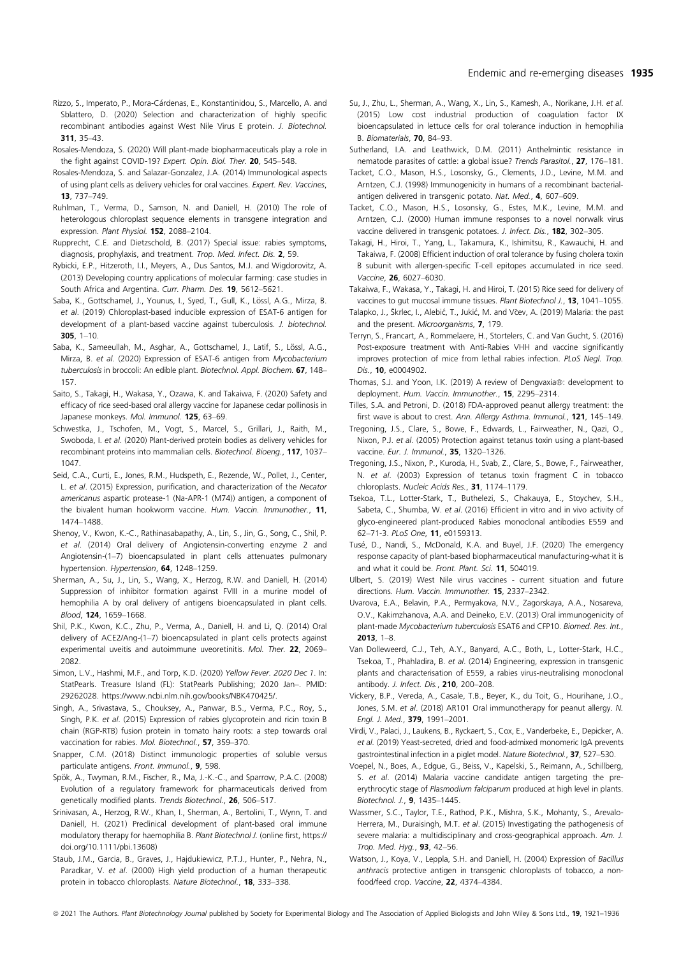- Rizzo, S., Imperato, P., Mora-Cárdenas, E., Konstantinidou, S., Marcello, A. and Sblattero, D. (2020) Selection and characterization of highly specific recombinant antibodies against West Nile Virus E protein. J. Biotechnol. 311, 35–43.
- Rosales-Mendoza, S. (2020) Will plant-made biopharmaceuticals play a role in the fight against COVID-19? Expert. Opin. Biol. Ther. 20, 545-548.
- Rosales-Mendoza, S. and Salazar-Gonzalez, J.A. (2014) Immunological aspects of using plant cells as delivery vehicles for oral vaccines. Expert. Rev. Vaccines, 13, 737–749.
- Ruhlman, T., Verma, D., Samson, N. and Daniell, H. (2010) The role of heterologous chloroplast sequence elements in transgene integration and expression. Plant Physiol. 152, 2088–2104.
- Rupprecht, C.E. and Dietzschold, B. (2017) Special issue: rabies symptoms, diagnosis, prophylaxis, and treatment. Trop. Med. Infect. Dis. 2, 59.
- Rybicki, E.P., Hitzeroth, I.I., Meyers, A., Dus Santos, M.J. and Wigdorovitz, A. (2013) Developing country applications of molecular farming: case studies in South Africa and Argentina. Curr. Pharm. Des. 19, 5612–5621.
- Saba, K., Gottschamel, J., Younus, I., Syed, T., Gull, K., Lössl, A.G., Mirza, B. et al. (2019) Chloroplast-based inducible expression of ESAT-6 antigen for development of a plant-based vaccine against tuberculosis. J. biotechnol.  $305.1 - 10.$
- Saba, K., Sameeullah, M., Asghar, A., Gottschamel, J., Latif, S., Lössl, A.G., Mirza, B. et al. (2020) Expression of ESAT-6 antigen from Mycobacterium tuberculosis in broccoli: An edible plant. Biotechnol. Appl. Biochem. 67, 148-157.
- Saito, S., Takagi, H., Wakasa, Y., Ozawa, K. and Takaiwa, F. (2020) Safety and efficacy of rice seed-based oral allergy vaccine for Japanese cedar pollinosis in Japanese monkeys. Mol. Immunol. 125, 63-69.
- Schwestka, J., Tschofen, M., Vogt, S., Marcel, S., Grillari, J., Raith, M., Swoboda, I. et al. (2020) Plant-derived protein bodies as delivery vehicles for recombinant proteins into mammalian cells. Biotechnol. Bioeng., 117, 1037-1047.
- Seid, C.A., Curti, E., Jones, R.M., Hudspeth, E., Rezende, W., Pollet, J., Center, L. et al. (2015) Expression, purification, and characterization of the Necator americanus aspartic protease-1 (Na-APR-1 (M74)) antigen, a component of the bivalent human hookworm vaccine. Hum. Vaccin. Immunother., 11, 1474–1488.
- Shenoy, V., Kwon, K.-C., Rathinasabapathy, A., Lin, S., Jin, G., Song, C., Shil, P. et al. (2014) Oral delivery of Angiotensin-converting enzyme 2 and Angiotensin-(1–7) bioencapsulated in plant cells attenuates pulmonary hypertension. Hypertension, 64, 1248-1259.
- Sherman, A., Su, J., Lin, S., Wang, X., Herzog, R.W. and Daniell, H. (2014) Suppression of inhibitor formation against FVIII in a murine model of hemophilia A by oral delivery of antigens bioencapsulated in plant cells. Blood, 124, 1659–1668.
- Shil, P.K., Kwon, K.C., Zhu, P., Verma, A., Daniell, H. and Li, Q. (2014) Oral delivery of ACE2/Ang-(1–7) bioencapsulated in plant cells protects against experimental uveitis and autoimmune uveoretinitis. Mol. Ther. 22, 2069– 2082.
- Simon, L.V., Hashmi, M.F., and Torp, K.D. (2020) Yellow Fever. 2020 Dec 1. In: StatPearls. Treasure Island (FL): StatPearls Publishing; 2020 Jan–. PMID: 29262028. [https://www.ncbi.nlm.nih.gov/books/NBK470425/.](https://www.ncbi.nlm.nih.gov/books/NBK470425/)
- Singh, A., Srivastava, S., Chouksey, A., Panwar, B.S., Verma, P.C., Roy, S., Singh, P.K. et al. (2015) Expression of rabies glycoprotein and ricin toxin B chain (RGP-RTB) fusion protein in tomato hairy roots: a step towards oral vaccination for rabies. Mol. Biotechnol., 57, 359–370.
- Snapper, C.M. (2018) Distinct immunologic properties of soluble versus particulate antigens. Front. Immunol., 9, 598.
- Spök, A., Twyman, R.M., Fischer, R., Ma, J.-K.-C., and Sparrow, P.A.C. (2008) Evolution of a regulatory framework for pharmaceuticals derived from genetically modified plants. Trends Biotechnol., 26, 506–517.
- Srinivasan, A., Herzog, R.W., Khan, I., Sherman, A., Bertolini, T., Wynn, T. and Daniell, H. (2021) Preclinical development of plant-based oral immune modulatory therapy for haemophilia B. Plant Biotechnol J. (online first, [https://](https://doi.org/10.1111/pbi.13608) [doi.org/10.1111/pbi.13608\)](https://doi.org/10.1111/pbi.13608)
- Staub, J.M., Garcia, B., Graves, J., Hajdukiewicz, P.T.J., Hunter, P., Nehra, N., Paradkar, V. et al. (2000) High yield production of a human therapeutic protein in tobacco chloroplasts. Nature Biotechnol., 18, 333-338.
- Su, J., Zhu, L., Sherman, A., Wang, X., Lin, S., Kamesh, A., Norikane, J.H. et al. (2015) Low cost industrial production of coagulation factor IX bioencapsulated in lettuce cells for oral tolerance induction in hemophilia B. Biomaterials, 70, 84–93.
- Sutherland, I.A. and Leathwick, D.M. (2011) Anthelmintic resistance in nematode parasites of cattle: a global issue? Trends Parasitol., 27, 176–181.
- Tacket, C.O., Mason, H.S., Losonsky, G., Clements, J.D., Levine, M.M. and Arntzen, C.J. (1998) Immunogenicity in humans of a recombinant bacterialantigen delivered in transgenic potato. Nat. Med., 4, 607-609.
- Tacket, C.O., Mason, H.S., Losonsky, G., Estes, M.K., Levine, M.M. and Arntzen, C.J. (2000) Human immune responses to a novel norwalk virus vaccine delivered in transgenic potatoes. J. Infect. Dis., 182, 302-305.
- Takagi, H., Hiroi, T., Yang, L., Takamura, K., Ishimitsu, R., Kawauchi, H. and Takaiwa, F. (2008) Efficient induction of oral tolerance by fusing cholera toxin B subunit with allergen-specific T-cell epitopes accumulated in rice seed. Vaccine, 26, 6027–6030.
- Takaiwa, F., Wakasa, Y., Takagi, H. and Hiroi, T. (2015) Rice seed for delivery of vaccines to gut mucosal immune tissues. Plant Biotechnol J., 13, 1041–1055.
- Talapko, J., Škrlec, I., Alebić, T., Jukić, M. and Včev, A. (2019) Malaria: the past and the present. Microorganisms, 7, 179.
- Terryn, S., Francart, A., Rommelaere, H., Stortelers, C. and Van Gucht, S. (2016) Post-exposure treatment with Anti-Rabies VHH and vaccine significantly improves protection of mice from lethal rabies infection. PLoS Negl. Trop. Dis., **10**, e0004902.
- Thomas, S.J. and Yoon, I.K. (2019) A review of Dengvaxia®: development tc deployment. Hum. Vaccin. Immunother., 15, 2295-2314.
- Tilles, S.A. and Petroni, D. (2018) FDA-approved peanut allergy treatment: the first wave is about to crest. Ann. Allergy Asthma. Immunol., 121, 145-149.
- Tregoning, J.S., Clare, S., Bowe, F., Edwards, L., Fairweather, N., Qazi, O., Nixon, P.J. et al. (2005) Protection against tetanus toxin using a plant-based vaccine. Eur. J. Immunol., **35**, 1320-1326.
- Tregoning, J.S., Nixon, P., Kuroda, H., Svab, Z., Clare, S., Bowe, F., Fairweather, N. et al. (2003) Expression of tetanus toxin fragment C in tobacco chloroplasts. Nucleic Acids Res., 31, 1174–1179.
- Tsekoa, T.L., Lotter-Stark, T., Buthelezi, S., Chakauya, E., Stoychev, S.H., Sabeta, C., Shumba, W. et al. (2016) Efficient in vitro and in vivo activity of glyco-engineered plant-produced Rabies monoclonal antibodies E559 and 62–71-3. PLoS One, 11, e0159313.
- Tusé, D., Nandi, S., McDonald, K.A. and Buyel, J.F. (2020) The emergency response capacity of plant-based biopharmaceutical manufacturing-what it is and what it could be. Front. Plant. Sci. 11, 504019.
- Ulbert, S. (2019) West Nile virus vaccines current situation and future directions. Hum. Vaccin. Immunother. 15, 2337–2342.
- Uvarova, E.A., Belavin, P.A., Permyakova, N.V., Zagorskaya, A.A., Nosareva, O.V., Kakimzhanova, A.A. and Deineko, E.V. (2013) Oral immunogenicity of plant-made Mycobacterium tuberculosis ESAT6 and CFP10. Biomed. Res. Int., 2013, 1–8.
- Van Dolleweerd, C.J., Teh, A.Y., Banyard, A.C., Both, L., Lotter-Stark, H.C., Tsekoa, T., Phahladira, B. et al. (2014) Engineering, expression in transgenic plants and characterisation of E559, a rabies virus-neutralising monoclonal antibody. J. Infect. Dis., 210, 200–208.
- Vickery, B.P., Vereda, A., Casale, T.B., Beyer, K., du Toit, G., Hourihane, J.O., Jones, S.M. et al. (2018) AR101 Oral immunotherapy for peanut allergy. N. Engl. J. Med., 379, 1991–2001.
- Virdi, V., Palaci, J., Laukens, B., Ryckaert, S., Cox, E., Vanderbeke, E., Depicker, A. et al. (2019) Yeast-secreted, dried and food-admixed monomeric IgA prevents gastrointestinal infection in a piglet model. Nature Biotechnol., 37, 527-530.
- Voepel, N., Boes, A., Edgue, G., Beiss, V., Kapelski, S., Reimann, A., Schillberg, S. et al. (2014) Malaria vaccine candidate antigen targeting the preerythrocytic stage of Plasmodium falciparum produced at high level in plants. Biotechnol. J., 9, 1435–1445.
- Wassmer, S.C., Taylor, T.E., Rathod, P.K., Mishra, S.K., Mohanty, S., Arevalo-Herrera, M., Duraisingh, M.T. et al. (2015) Investigating the pathogenesis of severe malaria: a multidisciplinary and cross-geographical approach. Am. J. Trop. Med. Hyg., 93, 42–56.
- Watson, J., Koya, V., Leppla, S.H. and Daniell, H. (2004) Expression of Bacillus anthracis protective antigen in transgenic chloroplasts of tobacco, a nonfood/feed crop. Vaccine, 22, 4374–4384.